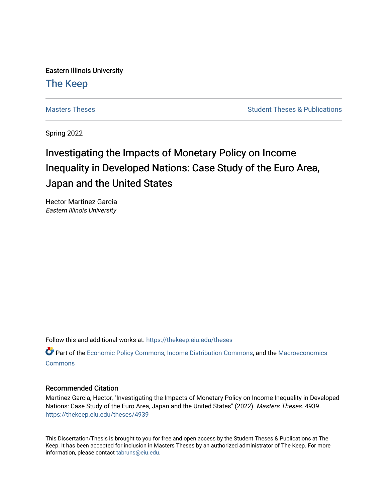Eastern Illinois University [The Keep](https://thekeep.eiu.edu/) 

[Masters Theses](https://thekeep.eiu.edu/theses) **Student Theses & Publications** Student Theses & Publications

Spring 2022

## Investigating the Impacts of Monetary Policy on Income Inequality in Developed Nations: Case Study of the Euro Area, Japan and the United States

Hector Martinez Garcia Eastern Illinois University

Follow this and additional works at: [https://thekeep.eiu.edu/theses](https://thekeep.eiu.edu/theses?utm_source=thekeep.eiu.edu%2Ftheses%2F4939&utm_medium=PDF&utm_campaign=PDFCoverPages)

Part of the [Economic Policy Commons](https://network.bepress.com/hgg/discipline/1025?utm_source=thekeep.eiu.edu%2Ftheses%2F4939&utm_medium=PDF&utm_campaign=PDFCoverPages), [Income Distribution Commons](https://network.bepress.com/hgg/discipline/1269?utm_source=thekeep.eiu.edu%2Ftheses%2F4939&utm_medium=PDF&utm_campaign=PDFCoverPages), and the Macroeconomics **[Commons](https://network.bepress.com/hgg/discipline/350?utm_source=thekeep.eiu.edu%2Ftheses%2F4939&utm_medium=PDF&utm_campaign=PDFCoverPages)** 

#### Recommended Citation

Martinez Garcia, Hector, "Investigating the Impacts of Monetary Policy on Income Inequality in Developed Nations: Case Study of the Euro Area, Japan and the United States" (2022). Masters Theses. 4939. [https://thekeep.eiu.edu/theses/4939](https://thekeep.eiu.edu/theses/4939?utm_source=thekeep.eiu.edu%2Ftheses%2F4939&utm_medium=PDF&utm_campaign=PDFCoverPages) 

This Dissertation/Thesis is brought to you for free and open access by the Student Theses & Publications at The Keep. It has been accepted for inclusion in Masters Theses by an authorized administrator of The Keep. For more information, please contact [tabruns@eiu.edu](mailto:tabruns@eiu.edu).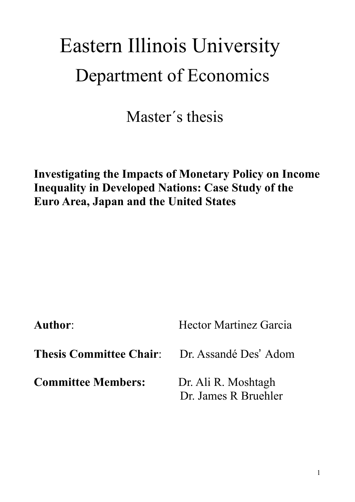# Eastern Illinois University Department of Economics

Master´s thesis

# **Investigating the Impacts of Monetary Policy on Income Inequality in Developed Nations: Case Study of the Euro Area, Japan and the United States**

Author: Hector Martinez Garcia

**Thesis Committee Chair:** Dr. Assandé Des' Adom

**Committee Members:** Dr. Ali R. Moshtagh

Dr. James R Bruehler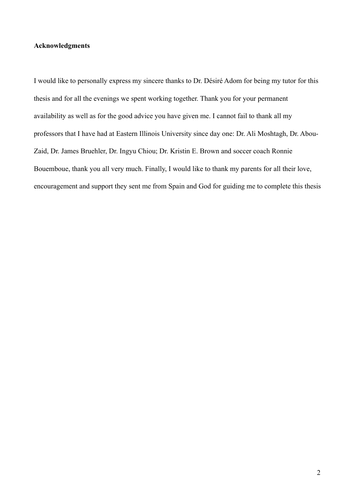#### **Acknowledgments**

I would like to personally express my sincere thanks to Dr. Désiré Adom for being my tutor for this thesis and for all the evenings we spent working together. Thank you for your permanent availability as well as for the good advice you have given me. I cannot fail to thank all my professors that I have had at Eastern Illinois University since day one: Dr. Ali Moshtagh, Dr. Abou-Zaid, Dr. James Bruehler, Dr. Ingyu Chiou; Dr. Kristin E. Brown and soccer coach Ronnie Bouemboue, thank you all very much. Finally, I would like to thank my parents for all their love, encouragement and support they sent me from Spain and God for guiding me to complete this thesis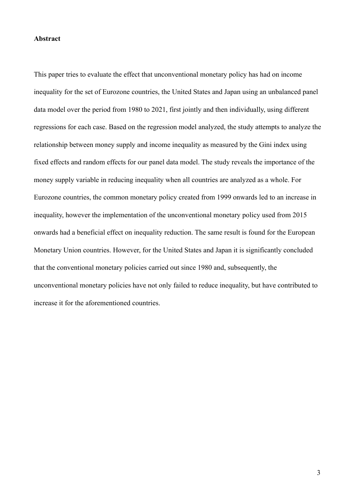#### **Abstract**

This paper tries to evaluate the effect that unconventional monetary policy has had on income inequality for the set of Eurozone countries, the United States and Japan using an unbalanced panel data model over the period from 1980 to 2021, first jointly and then individually, using different regressions for each case. Based on the regression model analyzed, the study attempts to analyze the relationship between money supply and income inequality as measured by the Gini index using fixed effects and random effects for our panel data model. The study reveals the importance of the money supply variable in reducing inequality when all countries are analyzed as a whole. For Eurozone countries, the common monetary policy created from 1999 onwards led to an increase in inequality, however the implementation of the unconventional monetary policy used from 2015 onwards had a beneficial effect on inequality reduction. The same result is found for the European Monetary Union countries. However, for the United States and Japan it is significantly concluded that the conventional monetary policies carried out since 1980 and, subsequently, the unconventional monetary policies have not only failed to reduce inequality, but have contributed to increase it for the aforementioned countries.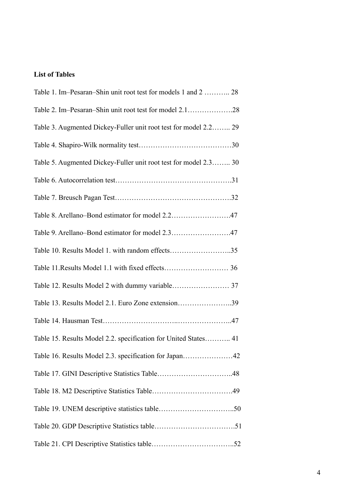### **List of Tables**

| Table 1. Im–Pesaran–Shin unit root test for models 1 and 2  28   |
|------------------------------------------------------------------|
|                                                                  |
| Table 3. Augmented Dickey-Fuller unit root test for model 2.2 29 |
|                                                                  |
| Table 5. Augmented Dickey-Fuller unit root test for model 2.3 30 |
|                                                                  |
|                                                                  |
| Table 8. Arellano–Bond estimator for model 2.247                 |
| Table 9. Arellano–Bond estimator for model 2.347                 |
| Table 10. Results Model 1. with random effects35                 |
|                                                                  |
|                                                                  |
| Table 13. Results Model 2.1. Euro Zone extension39               |
|                                                                  |
| Table 15. Results Model 2.2. specification for United States 41  |
|                                                                  |
|                                                                  |
|                                                                  |
|                                                                  |
|                                                                  |
|                                                                  |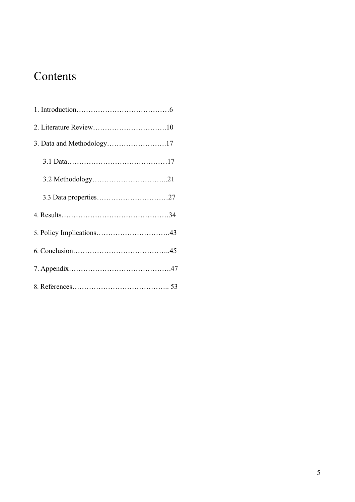# Contents

| 3. Data and Methodology17 |  |
|---------------------------|--|
|                           |  |
|                           |  |
|                           |  |
|                           |  |
|                           |  |
|                           |  |
|                           |  |
|                           |  |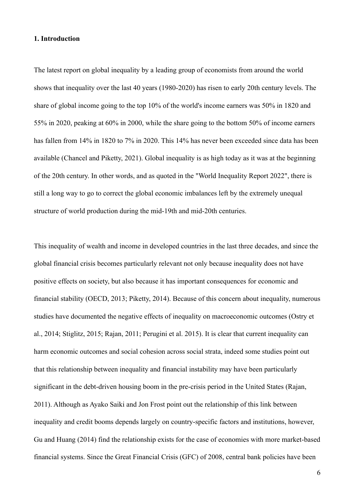#### **1. Introduction**

The latest report on global inequality by a leading group of economists from around the world shows that inequality over the last 40 years (1980-2020) has risen to early 20th century levels. The share of global income going to the top 10% of the world's income earners was 50% in 1820 and 55% in 2020, peaking at 60% in 2000, while the share going to the bottom 50% of income earners has fallen from 14% in 1820 to 7% in 2020. This 14% has never been exceeded since data has been available (Chancel and Piketty, 2021). Global inequality is as high today as it was at the beginning of the 20th century. In other words, and as quoted in the "World Inequality Report 2022", there is still a long way to go to correct the global economic imbalances left by the extremely unequal structure of world production during the mid-19th and mid-20th centuries.

This inequality of wealth and income in developed countries in the last three decades, and since the global financial crisis becomes particularly relevant not only because inequality does not have positive effects on society, but also because it has important consequences for economic and financial stability (OECD, 2013; Piketty, 2014). Because of this concern about inequality, numerous studies have documented the negative effects of inequality on macroeconomic outcomes (Ostry et al., 2014; Stiglitz, 2015; Rajan, 2011; Perugini et al. 2015). It is clear that current inequality can harm economic outcomes and social cohesion across social strata, indeed some studies point out that this relationship between inequality and financial instability may have been particularly significant in the debt-driven housing boom in the pre-crisis period in the United States (Rajan, 2011). Although as Ayako Saiki and Jon Frost point out the relationship of this link between inequality and credit booms depends largely on country-specific factors and institutions, however, Gu and Huang (2014) find the relationship exists for the case of economies with more market-based financial systems. Since the Great Financial Crisis (GFC) of 2008, central bank policies have been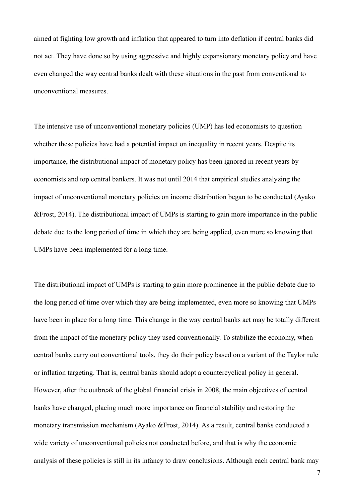aimed at fighting low growth and inflation that appeared to turn into deflation if central banks did not act. They have done so by using aggressive and highly expansionary monetary policy and have even changed the way central banks dealt with these situations in the past from conventional to unconventional measures.

The intensive use of unconventional monetary policies (UMP) has led economists to question whether these policies have had a potential impact on inequality in recent years. Despite its importance, the distributional impact of monetary policy has been ignored in recent years by economists and top central bankers. It was not until 2014 that empirical studies analyzing the impact of unconventional monetary policies on income distribution began to be conducted (Ayako &Frost, 2014). The distributional impact of UMPs is starting to gain more importance in the public debate due to the long period of time in which they are being applied, even more so knowing that UMPs have been implemented for a long time.

The distributional impact of UMPs is starting to gain more prominence in the public debate due to the long period of time over which they are being implemented, even more so knowing that UMPs have been in place for a long time. This change in the way central banks act may be totally different from the impact of the monetary policy they used conventionally. To stabilize the economy, when central banks carry out conventional tools, they do their policy based on a variant of the Taylor rule or inflation targeting. That is, central banks should adopt a countercyclical policy in general. However, after the outbreak of the global financial crisis in 2008, the main objectives of central banks have changed, placing much more importance on financial stability and restoring the monetary transmission mechanism (Ayako &Frost, 2014). As a result, central banks conducted a wide variety of unconventional policies not conducted before, and that is why the economic analysis of these policies is still in its infancy to draw conclusions. Although each central bank may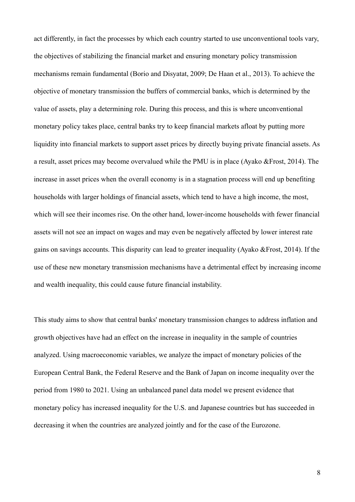act differently, in fact the processes by which each country started to use unconventional tools vary, the objectives of stabilizing the financial market and ensuring monetary policy transmission mechanisms remain fundamental (Borio and Disyatat, 2009; De Haan et al., 2013). To achieve the objective of monetary transmission the buffers of commercial banks, which is determined by the value of assets, play a determining role. During this process, and this is where unconventional monetary policy takes place, central banks try to keep financial markets afloat by putting more liquidity into financial markets to support asset prices by directly buying private financial assets. As a result, asset prices may become overvalued while the PMU is in place (Ayako &Frost, 2014). The increase in asset prices when the overall economy is in a stagnation process will end up benefiting households with larger holdings of financial assets, which tend to have a high income, the most, which will see their incomes rise. On the other hand, lower-income households with fewer financial assets will not see an impact on wages and may even be negatively affected by lower interest rate gains on savings accounts. This disparity can lead to greater inequality (Ayako &Frost, 2014). If the use of these new monetary transmission mechanisms have a detrimental effect by increasing income and wealth inequality, this could cause future financial instability.

This study aims to show that central banks' monetary transmission changes to address inflation and growth objectives have had an effect on the increase in inequality in the sample of countries analyzed. Using macroeconomic variables, we analyze the impact of monetary policies of the European Central Bank, the Federal Reserve and the Bank of Japan on income inequality over the period from 1980 to 2021. Using an unbalanced panel data model we present evidence that monetary policy has increased inequality for the U.S. and Japanese countries but has succeeded in decreasing it when the countries are analyzed jointly and for the case of the Eurozone.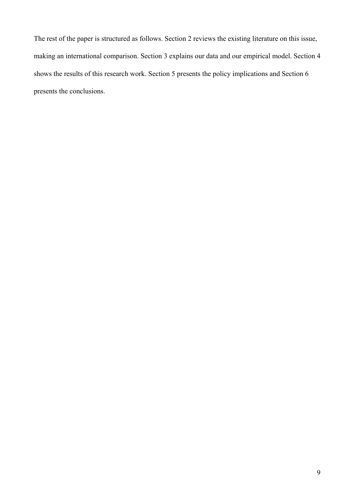The rest of the paper is structured as follows. Section 2 reviews the existing literature on this issue, making an international comparison. Section 3 explains our data and our empirical model. Section 4 shows the results of this research work. Section 5 presents the policy implications and Section 6 presents the conclusions.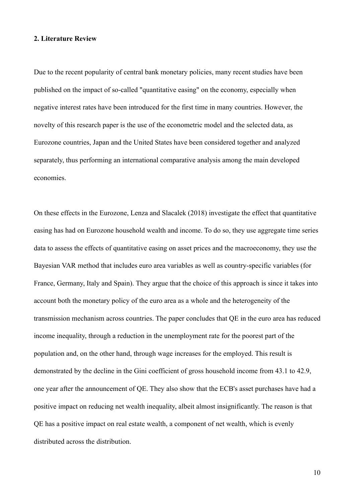#### **2. Literature Review**

Due to the recent popularity of central bank monetary policies, many recent studies have been published on the impact of so-called "quantitative easing" on the economy, especially when negative interest rates have been introduced for the first time in many countries. However, the novelty of this research paper is the use of the econometric model and the selected data, as Eurozone countries, Japan and the United States have been considered together and analyzed separately, thus performing an international comparative analysis among the main developed economies.

On these effects in the Eurozone, Lenza and Slacalek (2018) investigate the effect that quantitative easing has had on Eurozone household wealth and income. To do so, they use aggregate time series data to assess the effects of quantitative easing on asset prices and the macroeconomy, they use the Bayesian VAR method that includes euro area variables as well as country-specific variables (for France, Germany, Italy and Spain). They argue that the choice of this approach is since it takes into account both the monetary policy of the euro area as a whole and the heterogeneity of the transmission mechanism across countries. The paper concludes that QE in the euro area has reduced income inequality, through a reduction in the unemployment rate for the poorest part of the population and, on the other hand, through wage increases for the employed. This result is demonstrated by the decline in the Gini coefficient of gross household income from 43.1 to 42.9, one year after the announcement of QE. They also show that the ECB's asset purchases have had a positive impact on reducing net wealth inequality, albeit almost insignificantly. The reason is that QE has a positive impact on real estate wealth, a component of net wealth, which is evenly distributed across the distribution.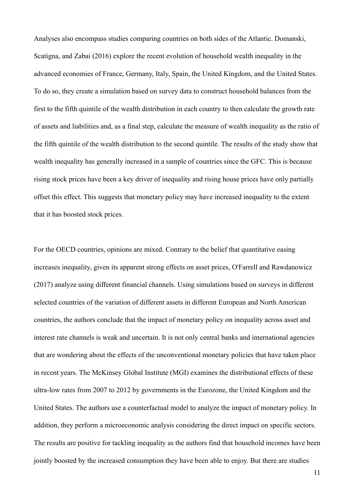Analyses also encompass studies comparing countries on both sides of the Atlantic. Domanski, Scatigna, and Zabai (2016) explore the recent evolution of household wealth inequality in the advanced economies of France, Germany, Italy, Spain, the United Kingdom, and the United States. To do so, they create a simulation based on survey data to construct household balances from the first to the fifth quintile of the wealth distribution in each country to then calculate the growth rate of assets and liabilities and, as a final step, calculate the measure of wealth inequality as the ratio of the fifth quintile of the wealth distribution to the second quintile. The results of the study show that wealth inequality has generally increased in a sample of countries since the GFC. This is because rising stock prices have been a key driver of inequality and rising house prices have only partially offset this effect. This suggests that monetary policy may have increased inequality to the extent that it has boosted stock prices.

For the OECD countries, opinions are mixed. Contrary to the belief that quantitative easing increases inequality, given its apparent strong effects on asset prices, O'Farrell and Rawdanowicz (2017) analyze using different financial channels. Using simulations based on surveys in different selected countries of the variation of different assets in different European and North American countries, the authors conclude that the impact of monetary policy on inequality across asset and interest rate channels is weak and uncertain. It is not only central banks and international agencies that are wondering about the effects of the unconventional monetary policies that have taken place in recent years. The McKinsey Global Institute (MGI) examines the distributional effects of these ultra-low rates from 2007 to 2012 by governments in the Eurozone, the United Kingdom and the United States. The authors use a counterfactual model to analyze the impact of monetary policy. In addition, they perform a microeconomic analysis considering the direct impact on specific sectors. The results are positive for tackling inequality as the authors find that household incomes have been jointly boosted by the increased consumption they have been able to enjoy. But there are studies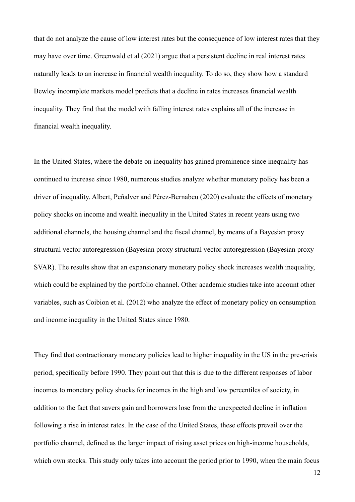that do not analyze the cause of low interest rates but the consequence of low interest rates that they may have over time. Greenwald et al (2021) argue that a persistent decline in real interest rates naturally leads to an increase in financial wealth inequality. To do so, they show how a standard Bewley incomplete markets model predicts that a decline in rates increases financial wealth inequality. They find that the model with falling interest rates explains all of the increase in financial wealth inequality.

In the United States, where the debate on inequality has gained prominence since inequality has continued to increase since 1980, numerous studies analyze whether monetary policy has been a driver of inequality. Albert, Peñalver and Pérez-Bernabeu (2020) evaluate the effects of monetary policy shocks on income and wealth inequality in the United States in recent years using two additional channels, the housing channel and the fiscal channel, by means of a Bayesian proxy structural vector autoregression (Bayesian proxy structural vector autoregression (Bayesian proxy SVAR). The results show that an expansionary monetary policy shock increases wealth inequality, which could be explained by the portfolio channel. Other academic studies take into account other variables, such as Coibion et al. (2012) who analyze the effect of monetary policy on consumption and income inequality in the United States since 1980.

They find that contractionary monetary policies lead to higher inequality in the US in the pre-crisis period, specifically before 1990. They point out that this is due to the different responses of labor incomes to monetary policy shocks for incomes in the high and low percentiles of society, in addition to the fact that savers gain and borrowers lose from the unexpected decline in inflation following a rise in interest rates. In the case of the United States, these effects prevail over the portfolio channel, defined as the larger impact of rising asset prices on high-income households, which own stocks. This study only takes into account the period prior to 1990, when the main focus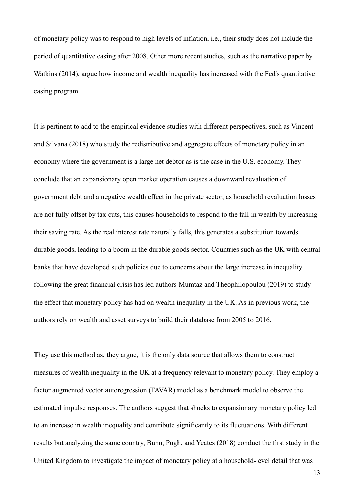of monetary policy was to respond to high levels of inflation, i.e., their study does not include the period of quantitative easing after 2008. Other more recent studies, such as the narrative paper by Watkins (2014), argue how income and wealth inequality has increased with the Fed's quantitative easing program.

It is pertinent to add to the empirical evidence studies with different perspectives, such as Vincent and Silvana (2018) who study the redistributive and aggregate effects of monetary policy in an economy where the government is a large net debtor as is the case in the U.S. economy. They conclude that an expansionary open market operation causes a downward revaluation of government debt and a negative wealth effect in the private sector, as household revaluation losses are not fully offset by tax cuts, this causes households to respond to the fall in wealth by increasing their saving rate. As the real interest rate naturally falls, this generates a substitution towards durable goods, leading to a boom in the durable goods sector. Countries such as the UK with central banks that have developed such policies due to concerns about the large increase in inequality following the great financial crisis has led authors Mumtaz and Theophilopoulou (2019) to study the effect that monetary policy has had on wealth inequality in the UK. As in previous work, the authors rely on wealth and asset surveys to build their database from 2005 to 2016.

They use this method as, they argue, it is the only data source that allows them to construct measures of wealth inequality in the UK at a frequency relevant to monetary policy. They employ a factor augmented vector autoregression (FAVAR) model as a benchmark model to observe the estimated impulse responses. The authors suggest that shocks to expansionary monetary policy led to an increase in wealth inequality and contribute significantly to its fluctuations. With different results but analyzing the same country, Bunn, Pugh, and Yeates (2018) conduct the first study in the United Kingdom to investigate the impact of monetary policy at a household-level detail that was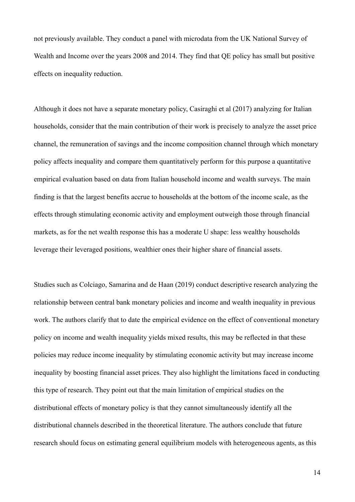not previously available. They conduct a panel with microdata from the UK National Survey of Wealth and Income over the years 2008 and 2014. They find that QE policy has small but positive effects on inequality reduction.

Although it does not have a separate monetary policy, Casiraghi et al (2017) analyzing for Italian households, consider that the main contribution of their work is precisely to analyze the asset price channel, the remuneration of savings and the income composition channel through which monetary policy affects inequality and compare them quantitatively perform for this purpose a quantitative empirical evaluation based on data from Italian household income and wealth surveys. The main finding is that the largest benefits accrue to households at the bottom of the income scale, as the effects through stimulating economic activity and employment outweigh those through financial markets, as for the net wealth response this has a moderate U shape: less wealthy households leverage their leveraged positions, wealthier ones their higher share of financial assets.

Studies such as Colciago, Samarina and de Haan (2019) conduct descriptive research analyzing the relationship between central bank monetary policies and income and wealth inequality in previous work. The authors clarify that to date the empirical evidence on the effect of conventional monetary policy on income and wealth inequality yields mixed results, this may be reflected in that these policies may reduce income inequality by stimulating economic activity but may increase income inequality by boosting financial asset prices. They also highlight the limitations faced in conducting this type of research. They point out that the main limitation of empirical studies on the distributional effects of monetary policy is that they cannot simultaneously identify all the distributional channels described in the theoretical literature. The authors conclude that future research should focus on estimating general equilibrium models with heterogeneous agents, as this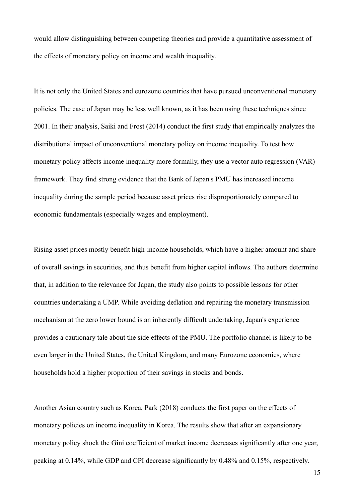would allow distinguishing between competing theories and provide a quantitative assessment of the effects of monetary policy on income and wealth inequality.

It is not only the United States and eurozone countries that have pursued unconventional monetary policies. The case of Japan may be less well known, as it has been using these techniques since 2001. In their analysis, Saiki and Frost (2014) conduct the first study that empirically analyzes the distributional impact of unconventional monetary policy on income inequality. To test how monetary policy affects income inequality more formally, they use a vector auto regression (VAR) framework. They find strong evidence that the Bank of Japan's PMU has increased income inequality during the sample period because asset prices rise disproportionately compared to economic fundamentals (especially wages and employment).

Rising asset prices mostly benefit high-income households, which have a higher amount and share of overall savings in securities, and thus benefit from higher capital inflows. The authors determine that, in addition to the relevance for Japan, the study also points to possible lessons for other countries undertaking a UMP. While avoiding deflation and repairing the monetary transmission mechanism at the zero lower bound is an inherently difficult undertaking, Japan's experience provides a cautionary tale about the side effects of the PMU. The portfolio channel is likely to be even larger in the United States, the United Kingdom, and many Eurozone economies, where households hold a higher proportion of their savings in stocks and bonds.

Another Asian country such as Korea, Park (2018) conducts the first paper on the effects of monetary policies on income inequality in Korea. The results show that after an expansionary monetary policy shock the Gini coefficient of market income decreases significantly after one year, peaking at 0.14%, while GDP and CPI decrease significantly by 0.48% and 0.15%, respectively.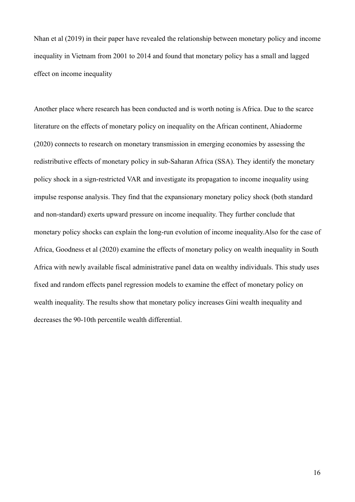Nhan et al (2019) in their paper have revealed the relationship between monetary policy and income inequality in Vietnam from 2001 to 2014 and found that monetary policy has a small and lagged effect on income inequality

Another place where research has been conducted and is worth noting is Africa. Due to the scarce literature on the effects of monetary policy on inequality on the African continent, Ahiadorme (2020) connects to research on monetary transmission in emerging economies by assessing the redistributive effects of monetary policy in sub-Saharan Africa (SSA). They identify the monetary policy shock in a sign-restricted VAR and investigate its propagation to income inequality using impulse response analysis. They find that the expansionary monetary policy shock (both standard and non-standard) exerts upward pressure on income inequality. They further conclude that monetary policy shocks can explain the long-run evolution of income inequality.Also for the case of Africa, Goodness et al (2020) examine the effects of monetary policy on wealth inequality in South Africa with newly available fiscal administrative panel data on wealthy individuals. This study uses fixed and random effects panel regression models to examine the effect of monetary policy on wealth inequality. The results show that monetary policy increases Gini wealth inequality and decreases the 90-10th percentile wealth differential.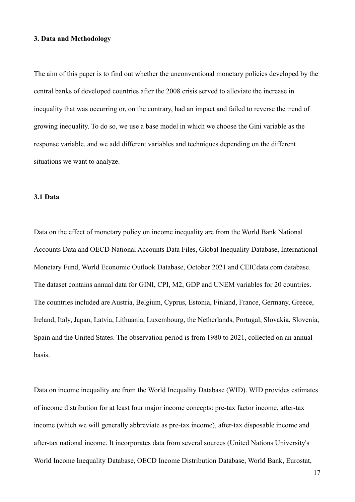#### **3. Data and Methodology**

The aim of this paper is to find out whether the unconventional monetary policies developed by the central banks of developed countries after the 2008 crisis served to alleviate the increase in inequality that was occurring or, on the contrary, had an impact and failed to reverse the trend of growing inequality. To do so, we use a base model in which we choose the Gini variable as the response variable, and we add different variables and techniques depending on the different situations we want to analyze.

#### **3.1 Data**

Data on the effect of monetary policy on income inequality are from the World Bank National Accounts Data and OECD National Accounts Data Files, Global Inequality Database, International Monetary Fund, World Economic Outlook Database, October 2021 and CEICdata.com database. The dataset contains annual data for GINI, CPI, M2, GDP and UNEM variables for 20 countries. The countries included are Austria, Belgium, Cyprus, Estonia, Finland, France, Germany, Greece, Ireland, Italy, Japan, Latvia, Lithuania, Luxembourg, the Netherlands, Portugal, Slovakia, Slovenia, Spain and the United States. The observation period is from 1980 to 2021, collected on an annual basis.

Data on income inequality are from the World Inequality Database (WID). WID provides estimates of income distribution for at least four major income concepts: pre-tax factor income, after-tax income (which we will generally abbreviate as pre-tax income), after-tax disposable income and after-tax national income. It incorporates data from several sources (United Nations University's World Income Inequality Database, OECD Income Distribution Database, World Bank, Eurostat,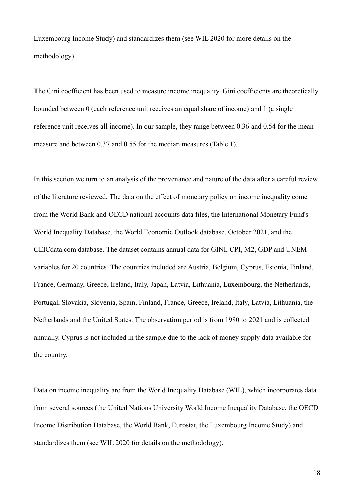Luxembourg Income Study) and standardizes them (see WIL 2020 for more details on the methodology).

The Gini coefficient has been used to measure income inequality. Gini coefficients are theoretically bounded between 0 (each reference unit receives an equal share of income) and 1 (a single reference unit receives all income). In our sample, they range between 0.36 and 0.54 for the mean measure and between 0.37 and 0.55 for the median measures (Table 1).

In this section we turn to an analysis of the provenance and nature of the data after a careful review of the literature reviewed. The data on the effect of monetary policy on income inequality come from the World Bank and OECD national accounts data files, the International Monetary Fund's World Inequality Database, the World Economic Outlook database, October 2021, and the CEICdata.com database. The dataset contains annual data for GINI, CPI, M2, GDP and UNEM variables for 20 countries. The countries included are Austria, Belgium, Cyprus, Estonia, Finland, France, Germany, Greece, Ireland, Italy, Japan, Latvia, Lithuania, Luxembourg, the Netherlands, Portugal, Slovakia, Slovenia, Spain, Finland, France, Greece, Ireland, Italy, Latvia, Lithuania, the Netherlands and the United States. The observation period is from 1980 to 2021 and is collected annually. Cyprus is not included in the sample due to the lack of money supply data available for the country.

Data on income inequality are from the World Inequality Database (WIL), which incorporates data from several sources (the United Nations University World Income Inequality Database, the OECD Income Distribution Database, the World Bank, Eurostat, the Luxembourg Income Study) and standardizes them (see WIL 2020 for details on the methodology).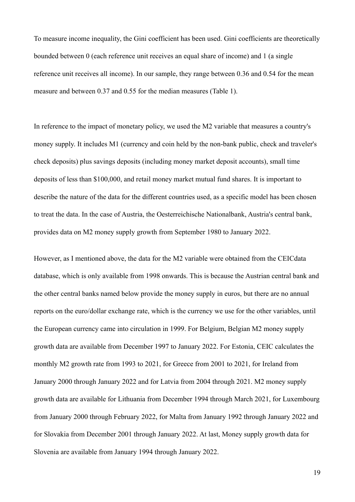To measure income inequality, the Gini coefficient has been used. Gini coefficients are theoretically bounded between 0 (each reference unit receives an equal share of income) and 1 (a single reference unit receives all income). In our sample, they range between 0.36 and 0.54 for the mean measure and between 0.37 and 0.55 for the median measures (Table 1).

In reference to the impact of monetary policy, we used the M2 variable that measures a country's money supply. It includes M1 (currency and coin held by the non-bank public, check and traveler's check deposits) plus savings deposits (including money market deposit accounts), small time deposits of less than \$100,000, and retail money market mutual fund shares. It is important to describe the nature of the data for the different countries used, as a specific model has been chosen to treat the data. In the case of Austria, the Oesterreichische Nationalbank, Austria's central bank, provides data on M2 money supply growth from September 1980 to January 2022.

However, as I mentioned above, the data for the M2 variable were obtained from the CEICdata database, which is only available from 1998 onwards. This is because the Austrian central bank and the other central banks named below provide the money supply in euros, but there are no annual reports on the euro/dollar exchange rate, which is the currency we use for the other variables, until the European currency came into circulation in 1999. For Belgium, Belgian M2 money supply growth data are available from December 1997 to January 2022. For Estonia, CEIC calculates the monthly M2 growth rate from 1993 to 2021, for Greece from 2001 to 2021, for Ireland from January 2000 through January 2022 and for Latvia from 2004 through 2021. M2 money supply growth data are available for Lithuania from December 1994 through March 2021, for Luxembourg from January 2000 through February 2022, for Malta from January 1992 through January 2022 and for Slovakia from December 2001 through January 2022. At last, Money supply growth data for Slovenia are available from January 1994 through January 2022.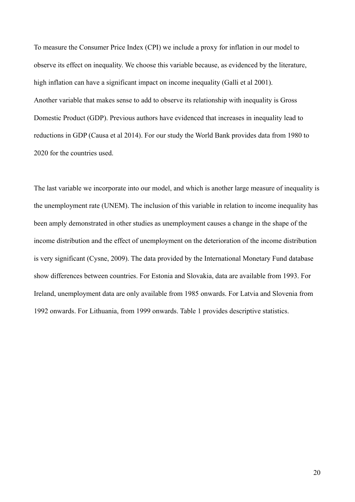To measure the Consumer Price Index (CPI) we include a proxy for inflation in our model to observe its effect on inequality. We choose this variable because, as evidenced by the literature, high inflation can have a significant impact on income inequality (Galli et al 2001). Another variable that makes sense to add to observe its relationship with inequality is Gross Domestic Product (GDP). Previous authors have evidenced that increases in inequality lead to reductions in GDP (Causa et al 2014). For our study the World Bank provides data from 1980 to 2020 for the countries used.

The last variable we incorporate into our model, and which is another large measure of inequality is the unemployment rate (UNEM). The inclusion of this variable in relation to income inequality has been amply demonstrated in other studies as unemployment causes a change in the shape of the income distribution and the effect of unemployment on the deterioration of the income distribution is very significant (Cysne, 2009). The data provided by the International Monetary Fund database show differences between countries. For Estonia and Slovakia, data are available from 1993. For Ireland, unemployment data are only available from 1985 onwards. For Latvia and Slovenia from 1992 onwards. For Lithuania, from 1999 onwards. Table 1 provides descriptive statistics.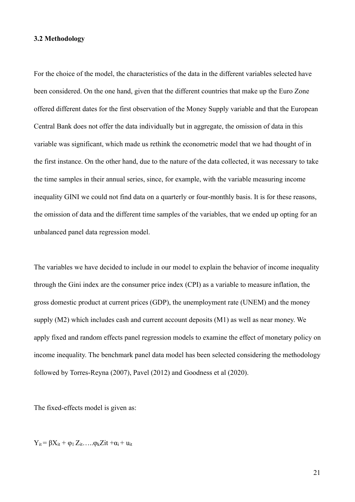#### **3.2 Methodology**

For the choice of the model, the characteristics of the data in the different variables selected have been considered. On the one hand, given that the different countries that make up the Euro Zone offered different dates for the first observation of the Money Supply variable and that the European Central Bank does not offer the data individually but in aggregate, the omission of data in this variable was significant, which made us rethink the econometric model that we had thought of in the first instance. On the other hand, due to the nature of the data collected, it was necessary to take the time samples in their annual series, since, for example, with the variable measuring income inequality GINI we could not find data on a quarterly or four-monthly basis. It is for these reasons, the omission of data and the different time samples of the variables, that we ended up opting for an unbalanced panel data regression model.

The variables we have decided to include in our model to explain the behavior of income inequality through the Gini index are the consumer price index (CPI) as a variable to measure inflation, the gross domestic product at current prices (GDP), the unemployment rate (UNEM) and the money supply (M2) which includes cash and current account deposits (M1) as well as near money. We apply fixed and random effects panel regression models to examine the effect of monetary policy on income inequality. The benchmark panel data model has been selected considering the methodology followed by Torres-Reyna (2007), Pavel (2012) and Goodness et al (2020).

The fixed-effects model is given as:

 $Y_{it} = \beta X_{it} + \varphi_1 Z_{it} \ldots \varphi_k Z_{it} + \alpha_i + \mu_{it}$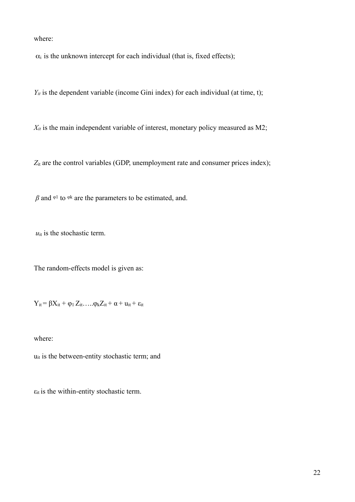where:

 $\alpha_i$  is the unknown intercept for each individual (that is, fixed effects);

 $Y_{it}$  is the dependent variable (income Gini index) for each individual (at time, t);

 $X_{it}$  is the main independent variable of interest, monetary policy measured as M2;

*Z*it are the control variables (GDP, unemployment rate and consumer prices index);

 $\beta$  and  $\phi$ <sup>1</sup> to  $\phi$ <sup>k</sup> are the parameters to be estimated, and.

 $u_{it}$  is the stochastic term.

The random-effects model is given as:

 $Y_{it} = \beta X_{it} + \varphi_1 Z_{it} \ldots \varphi_k Z_{it} + \alpha + u_{it} + \varepsilon_{it}$ 

where:

uit is the between-entity stochastic term; and

 $\varepsilon$ <sub>it</sub> is the within-entity stochastic term.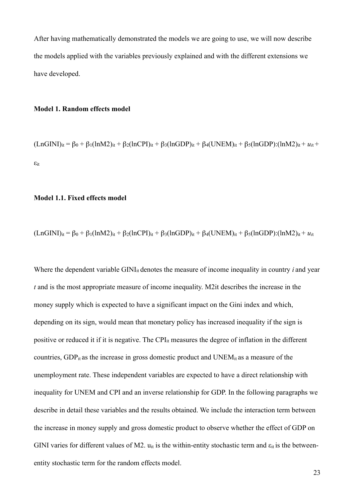After having mathematically demonstrated the models we are going to use, we will now describe the models applied with the variables previously explained and with the different extensions we have developed.

#### **Model 1. Random effects model**

 $(LnGINI)_{it} = \beta_0 + \beta_1(lnM2)_{it} + \beta_2(lnCPI)_{it} + \beta_3(lnGDP)_{it} + \beta_4 (UNEM)_{it} + \beta_5(lnGDP)_{i}(lnM2)_{it} + u_{it} +$ εit

#### **Model 1.1. Fixed effects model**

$$
(LnGINI)_{it} = \beta_0 + \beta_1(lnM2)_{it} + \beta_2(lnCPI)_{it} + \beta_3(lnGDP)_{it} + \beta_4 (UNEM)_{it} + \beta_5 (lnGDP)_{i} (lnM2)_{it} + u_{it}
$$

Where the dependent variable GINI<sub>it</sub> denotes the measure of income inequality in country *i* and year *t* and is the most appropriate measure of income inequality. M2it describes the increase in the money supply which is expected to have a significant impact on the Gini index and which, depending on its sign, would mean that monetary policy has increased inequality if the sign is positive or reduced it if it is negative. The CPIit measures the degree of inflation in the different countries,  $GDP_{it}$  as the increase in gross domestic product and  $UNEM_{it}$  as a measure of the unemployment rate. These independent variables are expected to have a direct relationship with inequality for UNEM and CPI and an inverse relationship for GDP. In the following paragraphs we describe in detail these variables and the results obtained. We include the interaction term between the increase in money supply and gross domestic product to observe whether the effect of GDP on GINI varies for different values of M2.  $u_{it}$  is the within-entity stochastic term and  $\varepsilon_{it}$  is the betweenentity stochastic term for the random effects model.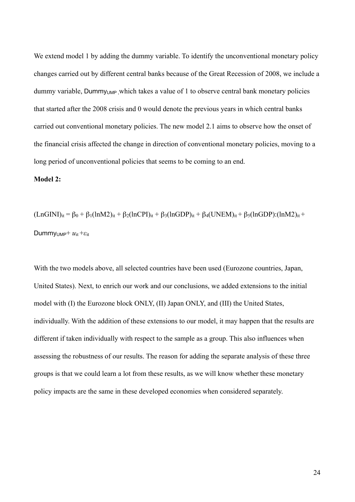We extend model 1 by adding the dummy variable. To identify the unconventional monetary policy changes carried out by different central banks because of the Great Recession of 2008, we include a dummy variable, Dummy<sub>UMP</sub> which takes a value of 1 to observe central bank monetary policies that started after the 2008 crisis and 0 would denote the previous years in which central banks carried out conventional monetary policies. The new model 2.1 aims to observe how the onset of the financial crisis affected the change in direction of conventional monetary policies, moving to a long period of unconventional policies that seems to be coming to an end.

#### **Model 2:**

 $(LnGINI)_{it} = \beta_0 + \beta_1(lnM2)_{it} + \beta_2(lnCPI)_{it} + \beta_3(lnGDP)_{it} + \beta_4 (UNEM)_{it} + \beta_5(lnGDP)_{i}(lnM2)_{it} +$ DummyUMP+ *u*it +*ε*it

With the two models above, all selected countries have been used (Eurozone countries, Japan, United States). Next, to enrich our work and our conclusions, we added extensions to the initial model with (I) the Eurozone block ONLY, (II) Japan ONLY, and (III) the United States, individually. With the addition of these extensions to our model, it may happen that the results are different if taken individually with respect to the sample as a group. This also influences when assessing the robustness of our results. The reason for adding the separate analysis of these three groups is that we could learn a lot from these results, as we will know whether these monetary policy impacts are the same in these developed economies when considered separately.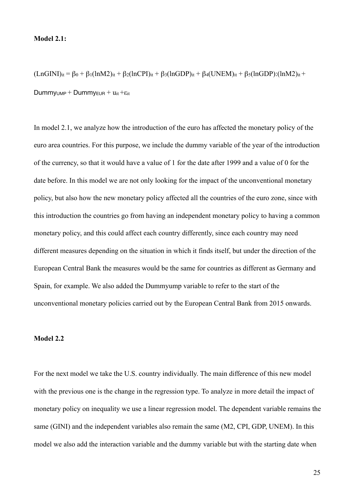#### **Model 2.1:**

 $(LnGINI)_{it} = \beta_0 + \beta_1(lnM2)_{it} + \beta_2(lnCPI)_{it} + \beta_3(lnGDP)_{it} + \beta_4 (UNEM)_{it} + \beta_5(lnGDP)_{i}(lnM2)_{it} +$  $Dummy<sub>UMP</sub> + Dummy<sub>EUR</sub> + u<sub>it</sub> + \varepsilon<sub>it</sub>$ 

In model 2.1, we analyze how the introduction of the euro has affected the monetary policy of the euro area countries. For this purpose, we include the dummy variable of the year of the introduction of the currency, so that it would have a value of 1 for the date after 1999 and a value of 0 for the date before. In this model we are not only looking for the impact of the unconventional monetary policy, but also how the new monetary policy affected all the countries of the euro zone, since with this introduction the countries go from having an independent monetary policy to having a common monetary policy, and this could affect each country differently, since each country may need different measures depending on the situation in which it finds itself, but under the direction of the European Central Bank the measures would be the same for countries as different as Germany and Spain, for example. We also added the Dummyump variable to refer to the start of the unconventional monetary policies carried out by the European Central Bank from 2015 onwards.

#### **Model 2.2**

For the next model we take the U.S. country individually. The main difference of this new model with the previous one is the change in the regression type. To analyze in more detail the impact of monetary policy on inequality we use a linear regression model. The dependent variable remains the same (GINI) and the independent variables also remain the same (M2, CPI, GDP, UNEM). In this model we also add the interaction variable and the dummy variable but with the starting date when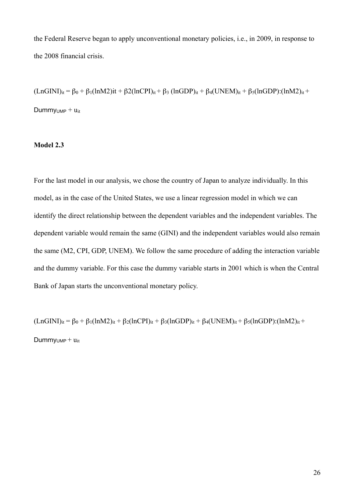the Federal Reserve began to apply unconventional monetary policies, i.e., in 2009, in response to the 2008 financial crisis.

 $(LnGINI)_{it} = \beta_0 + \beta_1(lnM2)it + \beta_2(lnCPI)_{it} + \beta_3 (lnGDP)_{it} + \beta_4 (UNEM)_{it} + \beta_5(lnGDP)_{i}(lnM2)_{it} +$ Dummy $_{UMP}$  +  $u_{it}$ 

#### **Model 2.3**

For the last model in our analysis, we chose the country of Japan to analyze individually. In this model, as in the case of the United States, we use a linear regression model in which we can identify the direct relationship between the dependent variables and the independent variables. The dependent variable would remain the same (GINI) and the independent variables would also remain the same (M2, CPI, GDP, UNEM). We follow the same procedure of adding the interaction variable and the dummy variable. For this case the dummy variable starts in 2001 which is when the Central Bank of Japan starts the unconventional monetary policy.

 $(LnGINI)_{it} = \beta_0 + \beta_1(lnM2)_{it} + \beta_2(lnCPI)_{it} + \beta_3(lnGDP)_{it} + \beta_4 (UNEM)_{it} + \beta_5(lnGDP)_{i}(lnM2)_{it} +$ 

 $D$ ummy<sub>UMP</sub> +  $u$ <sub>it</sub>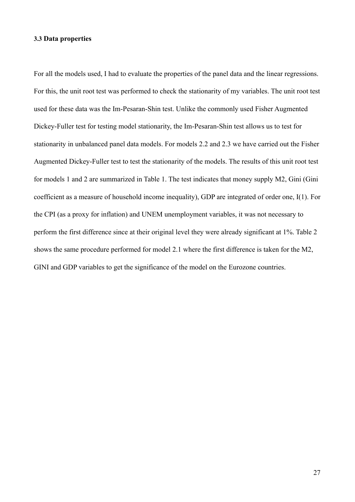#### **3.3 Data properties**

For all the models used, I had to evaluate the properties of the panel data and the linear regressions. For this, the unit root test was performed to check the stationarity of my variables. The unit root test used for these data was the Im-Pesaran-Shin test. Unlike the commonly used Fisher Augmented Dickey-Fuller test for testing model stationarity, the Im-Pesaran-Shin test allows us to test for stationarity in unbalanced panel data models. For models 2.2 and 2.3 we have carried out the Fisher Augmented Dickey-Fuller test to test the stationarity of the models. The results of this unit root test for models 1 and 2 are summarized in Table 1. The test indicates that money supply M2, Gini (Gini coefficient as a measure of household income inequality), GDP are integrated of order one, I(1). For the CPI (as a proxy for inflation) and UNEM unemployment variables, it was not necessary to perform the first difference since at their original level they were already significant at 1%. Table 2 shows the same procedure performed for model 2.1 where the first difference is taken for the M2, GINI and GDP variables to get the significance of the model on the Eurozone countries.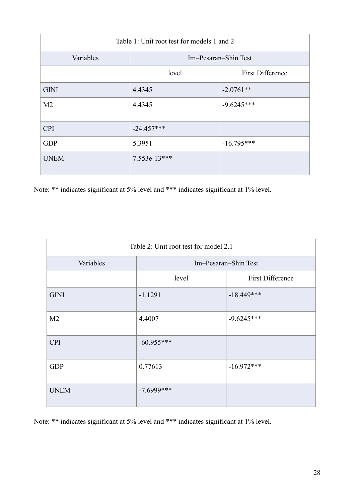| Table 1: Unit root test for models 1 and 2 |                                  |              |  |  |  |
|--------------------------------------------|----------------------------------|--------------|--|--|--|
| Variables                                  | Im-Pesaran-Shin Test             |              |  |  |  |
|                                            | <b>First Difference</b><br>level |              |  |  |  |
| <b>GINI</b>                                | 4.4345                           | $-2.0761**$  |  |  |  |
| M <sub>2</sub>                             | 4.4345                           | $-9.6245***$ |  |  |  |
| <b>CPI</b>                                 | $-24.457***$                     |              |  |  |  |
| <b>GDP</b>                                 | 5.3951<br>$-16.795***$           |              |  |  |  |
| <b>UNEM</b>                                | $7.553e-13***$                   |              |  |  |  |

Note: \*\* indicates significant at 5% level and \*\*\* indicates significant at 1% level.

| Table 2: Unit root test for model 2.1 |                                  |              |  |  |
|---------------------------------------|----------------------------------|--------------|--|--|
| Variables                             | Im-Pesaran-Shin Test             |              |  |  |
|                                       | <b>First Difference</b><br>level |              |  |  |
| <b>GINI</b>                           | $-1.1291$                        | $-18.449***$ |  |  |
| M <sub>2</sub>                        | 4.4007                           | $-9.6245***$ |  |  |
| <b>CPI</b>                            | $-60.955***$                     |              |  |  |
| <b>GDP</b>                            | 0.77613                          | $-16.972***$ |  |  |
| <b>UNEM</b>                           | $-7.6999$ ***                    |              |  |  |

Note: \*\* indicates significant at 5% level and \*\*\* indicates significant at 1% level.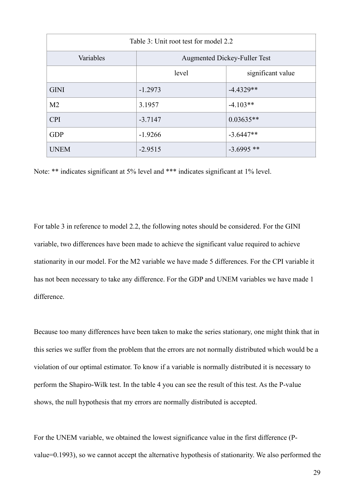| Table 3: Unit root test for model 2.2 |                                     |             |  |  |
|---------------------------------------|-------------------------------------|-------------|--|--|
| Variables                             | <b>Augmented Dickey-Fuller Test</b> |             |  |  |
|                                       | level<br>significant value          |             |  |  |
| <b>GINI</b>                           | $-1.2973$                           | $-4.4329**$ |  |  |
| M <sub>2</sub>                        | 3.1957                              | $-4.103**$  |  |  |
| <b>CPI</b>                            | $-3.7147$                           | $0.03635**$ |  |  |
| <b>GDP</b>                            | $-1.9266$                           | $-3.6447**$ |  |  |
| <b>UNEM</b>                           | $-3.6995**$<br>$-2.9515$            |             |  |  |

Note: \*\* indicates significant at 5% level and \*\*\* indicates significant at 1% level.

For table 3 in reference to model 2.2, the following notes should be considered. For the GINI variable, two differences have been made to achieve the significant value required to achieve stationarity in our model. For the M2 variable we have made 5 differences. For the CPI variable it has not been necessary to take any difference. For the GDP and UNEM variables we have made 1 difference.

Because too many differences have been taken to make the series stationary, one might think that in this series we suffer from the problem that the errors are not normally distributed which would be a violation of our optimal estimator. To know if a variable is normally distributed it is necessary to perform the Shapiro-Wilk test. In the table 4 you can see the result of this test. As the P-value shows, the null hypothesis that my errors are normally distributed is accepted.

For the UNEM variable, we obtained the lowest significance value in the first difference (Pvalue=0.1993), so we cannot accept the alternative hypothesis of stationarity. We also performed the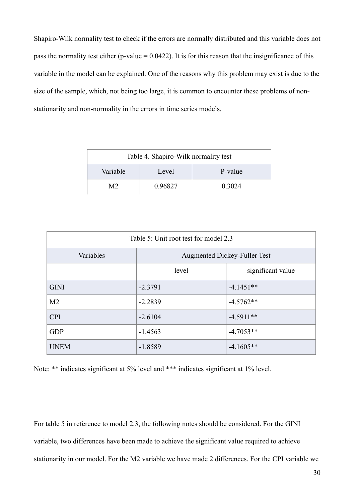Shapiro-Wilk normality test to check if the errors are normally distributed and this variable does not pass the normality test either (p-value  $= 0.0422$ ). It is for this reason that the insignificance of this variable in the model can be explained. One of the reasons why this problem may exist is due to the size of the sample, which, not being too large, it is common to encounter these problems of nonstationarity and non-normality in the errors in time series models.

| Table 4. Shapiro-Wilk normality test |         |        |  |  |
|--------------------------------------|---------|--------|--|--|
| Variable<br>P-value<br>Level         |         |        |  |  |
| M2.                                  | 0.96827 | 0 3024 |  |  |

| Table 5: Unit root test for model 2.3 |                                     |             |  |  |
|---------------------------------------|-------------------------------------|-------------|--|--|
| Variables                             | <b>Augmented Dickey-Fuller Test</b> |             |  |  |
|                                       | significant value<br>level          |             |  |  |
| <b>GINI</b>                           | $-2.3791$                           | $-4.1451**$ |  |  |
| M <sub>2</sub>                        | $-2.2839$                           | $-4.5762**$ |  |  |
| <b>CPI</b>                            | $-2.6104$                           | $-4.5911**$ |  |  |
| <b>GDP</b>                            | $-1.4563$                           | $-4.7053**$ |  |  |
| <b>UNEM</b>                           | $-1.8589$                           | $-4.1605**$ |  |  |

Note: \*\* indicates significant at 5% level and \*\*\* indicates significant at 1% level.

For table 5 in reference to model 2.3, the following notes should be considered. For the GINI variable, two differences have been made to achieve the significant value required to achieve stationarity in our model. For the M2 variable we have made 2 differences. For the CPI variable we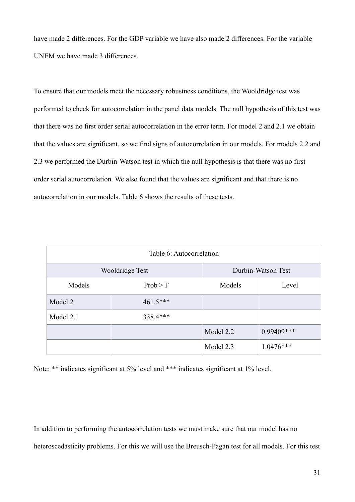have made 2 differences. For the GDP variable we have also made 2 differences. For the variable UNEM we have made 3 differences.

To ensure that our models meet the necessary robustness conditions, the Wooldridge test was performed to check for autocorrelation in the panel data models. The null hypothesis of this test was that there was no first order serial autocorrelation in the error term. For model 2 and 2.1 we obtain that the values are significant, so we find signs of autocorrelation in our models. For models 2.2 and 2.3 we performed the Durbin-Watson test in which the null hypothesis is that there was no first order serial autocorrelation. We also found that the values are significant and that there is no autocorrelation in our models. Table 6 shows the results of these tests.

| Table 6: Autocorrelation |            |                    |             |  |
|--------------------------|------------|--------------------|-------------|--|
| Wooldridge Test          |            | Durbin-Watson Test |             |  |
| Models                   | Prob > F   | Models<br>Level    |             |  |
| Model 2                  | $461.5***$ |                    |             |  |
| Model 2.1                | 338.4***   |                    |             |  |
|                          |            | Model 2.2          | 0.99409***  |  |
|                          |            | Model 2.3          | $1.0476***$ |  |

Note: \*\* indicates significant at 5% level and \*\*\* indicates significant at 1% level.

In addition to performing the autocorrelation tests we must make sure that our model has no heteroscedasticity problems. For this we will use the Breusch-Pagan test for all models. For this test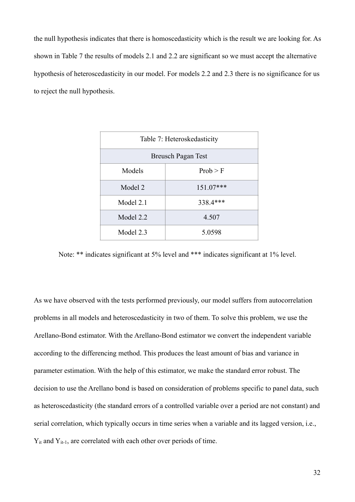the null hypothesis indicates that there is homoscedasticity which is the result we are looking for. As shown in Table 7 the results of models 2.1 and 2.2 are significant so we must accept the alternative hypothesis of heteroscedasticity in our model. For models 2.2 and 2.3 there is no significance for us to reject the null hypothesis.

| Table 7: Heteroskedasticity |          |  |  |
|-----------------------------|----------|--|--|
| Breusch Pagan Test          |          |  |  |
| Models                      | Prob > F |  |  |
| Model 2<br>$151.07***$      |          |  |  |
| Model 2.1                   | 338.4*** |  |  |
| Model 2.2                   | 4.507    |  |  |
| Model 2.3<br>5.0598         |          |  |  |

Note: \*\* indicates significant at 5% level and \*\*\* indicates significant at 1% level.

As we have observed with the tests performed previously, our model suffers from autocorrelation problems in all models and heteroscedasticity in two of them. To solve this problem, we use the Arellano-Bond estimator. With the Arellano-Bond estimator we convert the independent variable according to the differencing method. This produces the least amount of bias and variance in parameter estimation. With the help of this estimator, we make the standard error robust. The decision to use the Arellano bond is based on consideration of problems specific to panel data, such as heteroscedasticity (the standard errors of a controlled variable over a period are not constant) and serial correlation, which typically occurs in time series when a variable and its lagged version, i.e., Y<sub>it</sub> and Y<sub>it-1</sub>, are correlated with each other over periods of time.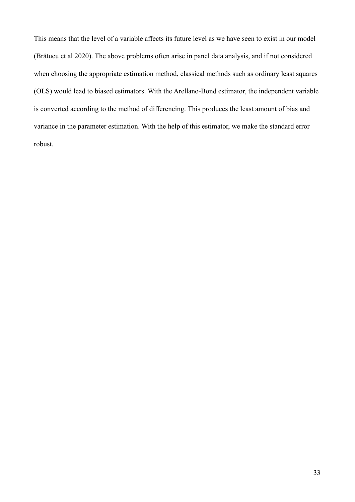This means that the level of a variable affects its future level as we have seen to exist in our model (Brătucu et al 2020). The above problems often arise in panel data analysis, and if not considered when choosing the appropriate estimation method, classical methods such as ordinary least squares (OLS) would lead to biased estimators. With the Arellano-Bond estimator, the independent variable is converted according to the method of differencing. This produces the least amount of bias and variance in the parameter estimation. With the help of this estimator, we make the standard error robust.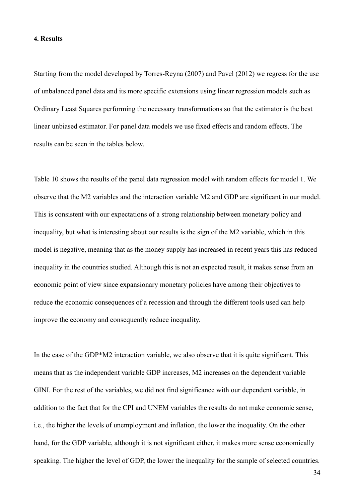#### **4. Results**

Starting from the model developed by Torres-Reyna (2007) and Pavel (2012) we regress for the use of unbalanced panel data and its more specific extensions using linear regression models such as Ordinary Least Squares performing the necessary transformations so that the estimator is the best linear unbiased estimator. For panel data models we use fixed effects and random effects. The results can be seen in the tables below.

Table 10 shows the results of the panel data regression model with random effects for model 1. We observe that the M2 variables and the interaction variable M2 and GDP are significant in our model. This is consistent with our expectations of a strong relationship between monetary policy and inequality, but what is interesting about our results is the sign of the M2 variable, which in this model is negative, meaning that as the money supply has increased in recent years this has reduced inequality in the countries studied. Although this is not an expected result, it makes sense from an economic point of view since expansionary monetary policies have among their objectives to reduce the economic consequences of a recession and through the different tools used can help improve the economy and consequently reduce inequality.

In the case of the GDP\*M2 interaction variable, we also observe that it is quite significant. This means that as the independent variable GDP increases, M2 increases on the dependent variable GINI. For the rest of the variables, we did not find significance with our dependent variable, in addition to the fact that for the CPI and UNEM variables the results do not make economic sense, i.e., the higher the levels of unemployment and inflation, the lower the inequality. On the other hand, for the GDP variable, although it is not significant either, it makes more sense economically speaking. The higher the level of GDP, the lower the inequality for the sample of selected countries.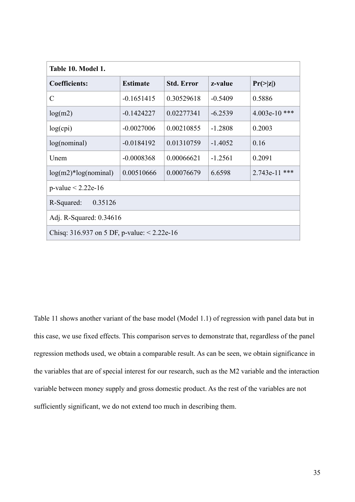| Table 10. Model 1.                            |                 |                   |           |                    |  |
|-----------------------------------------------|-----------------|-------------------|-----------|--------------------|--|
| <b>Coefficients:</b>                          | <b>Estimate</b> | <b>Std. Error</b> | z-value   | $Pr(\geq  z )$     |  |
| $\overline{C}$                                | $-0.1651415$    | 0.30529618        | $-0.5409$ | 0.5886             |  |
| log(m2)                                       | $-0.1424227$    | 0.02277341        | $-6.2539$ | 4.003e-10 ***      |  |
| log(cpi)                                      | $-0.0027006$    | 0.00210855        | $-1.2808$ | 0.2003             |  |
| log(nominal)                                  | $-0.0184192$    | 0.01310759        | $-1.4052$ | 0.16               |  |
| Unem                                          | $-0.0008368$    | 0.00066621        | $-1.2561$ | 0.2091             |  |
| $log(m2)*log(nominal)$                        | 0.00510666      | 0.00076679        | 6.6598    | $2.743e-11$<br>*** |  |
| $p$ -value < 2.22e-16                         |                 |                   |           |                    |  |
| R-Squared:<br>0.35126                         |                 |                   |           |                    |  |
| Adj. R-Squared: 0.34616                       |                 |                   |           |                    |  |
| Chisq: 316.937 on 5 DF, p-value: $< 2.22e-16$ |                 |                   |           |                    |  |

Table 11 shows another variant of the base model (Model 1.1) of regression with panel data but in this case, we use fixed effects. This comparison serves to demonstrate that, regardless of the panel regression methods used, we obtain a comparable result. As can be seen, we obtain significance in the variables that are of special interest for our research, such as the M2 variable and the interaction variable between money supply and gross domestic product. As the rest of the variables are not sufficiently significant, we do not extend too much in describing them.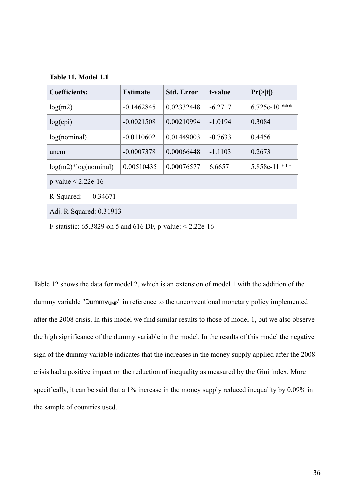| Table 11. Model 1.1                                            |                 |                   |           |                      |  |
|----------------------------------------------------------------|-----------------|-------------------|-----------|----------------------|--|
| <b>Coefficients:</b>                                           | <b>Estimate</b> | <b>Std. Error</b> | t-value   | $Pr(>\vert t \vert)$ |  |
| log(m2)                                                        | $-0.1462845$    | 0.02332448        | $-6.2717$ | ***<br>$6.725e-10$   |  |
| log(cpi)                                                       | $-0.0021508$    | 0.00210994        | $-1.0194$ | 0.3084               |  |
| log(nominal)                                                   | $-0.0110602$    | 0.01449003        | $-0.7633$ | 0.4456               |  |
| unem                                                           | $-0.0007378$    | 0.00066448        | $-1.1103$ | 0.2673               |  |
| $log(m2)*log(nominal)$                                         | 0.00510435      | 0.00076577        | 6.6657    | ***<br>5.858e-11     |  |
| $p$ -value < 2.22e-16                                          |                 |                   |           |                      |  |
| R-Squared:<br>0.34671                                          |                 |                   |           |                      |  |
| Adj. R-Squared: 0.31913                                        |                 |                   |           |                      |  |
| F-statistic: 65.3829 on 5 and 616 DF, p-value: $\leq 2.22e-16$ |                 |                   |           |                      |  |

Table 12 shows the data for model 2, which is an extension of model 1 with the addition of the dummy variable "Dummy<sub>UMP</sub>" in reference to the unconventional monetary policy implemented after the 2008 crisis. In this model we find similar results to those of model 1, but we also observe the high significance of the dummy variable in the model. In the results of this model the negative sign of the dummy variable indicates that the increases in the money supply applied after the 2008 crisis had a positive impact on the reduction of inequality as measured by the Gini index. More specifically, it can be said that a 1% increase in the money supply reduced inequality by 0.09% in the sample of countries used.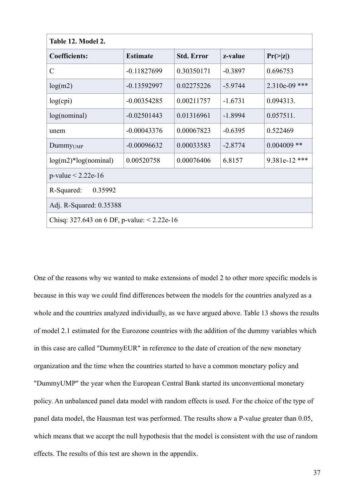| Table 12. Model 2.                            |                 |                   |           |                 |
|-----------------------------------------------|-----------------|-------------------|-----------|-----------------|
| <b>Coefficients:</b>                          | <b>Estimate</b> | <b>Std. Error</b> | z-value   | $Pr(\geq  z )$  |
| $\mathcal{C}$                                 | $-0.11827699$   | 0.30350171        | $-0.3897$ | 0.696753        |
| log(m2)                                       | $-0.13592997$   | 0.02275226        | $-5.9744$ | $2.310e-09$ *** |
| log(cpi)                                      | $-0.00354285$   | 0.00211757        | $-1.6731$ | 0.094313.       |
| log(nominal)                                  | $-0.02501443$   | 0.01316961        | $-1.8994$ | 0.057511.       |
| unem                                          | $-0.00043376$   | 0.00067823        | $-0.6395$ | 0.522469        |
| Dummy <sub>UMP</sub>                          | $-0.00096632$   | 0.00033583        | $-2.8774$ | $0.004009$ **   |
| $log(m2)*log(nominal)$                        | 0.00520758      | 0.00076406        | 6.8157    | 9.381e-12 ***   |
| $p$ -value < 2.22e-16                         |                 |                   |           |                 |
| R-Squared:<br>0.35992                         |                 |                   |           |                 |
| Adj. R-Squared: 0.35388                       |                 |                   |           |                 |
| Chisq: 327.643 on 6 DF, p-value: $< 2.22e-16$ |                 |                   |           |                 |

One of the reasons why we wanted to make extensions of model 2 to other more specific models is because in this way we could find differences between the models for the countries analyzed as a whole and the countries analyzed individually, as we have argued above. Table 13 shows the results of model 2.1 estimated for the Eurozone countries with the addition of the dummy variables which in this case are called "DummyEUR" in reference to the date of creation of the new monetary organization and the time when the countries started to have a common monetary policy and "DummyUMP" the year when the European Central Bank started its unconventional monetary policy. An unbalanced panel data model with random effects is used. For the choice of the type of panel data model, the Hausman test was performed. The results show a P-value greater than 0.05, which means that we accept the null hypothesis that the model is consistent with the use of random effects. The results of this test are shown in the appendix.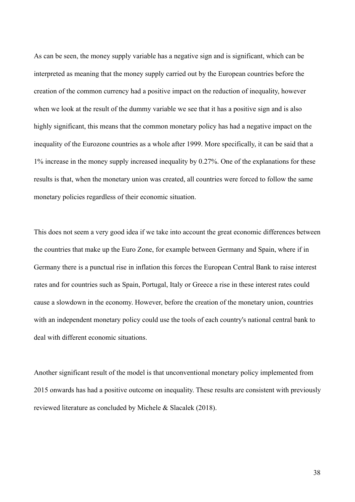As can be seen, the money supply variable has a negative sign and is significant, which can be interpreted as meaning that the money supply carried out by the European countries before the creation of the common currency had a positive impact on the reduction of inequality, however when we look at the result of the dummy variable we see that it has a positive sign and is also highly significant, this means that the common monetary policy has had a negative impact on the inequality of the Eurozone countries as a whole after 1999. More specifically, it can be said that a 1% increase in the money supply increased inequality by 0.27%. One of the explanations for these results is that, when the monetary union was created, all countries were forced to follow the same monetary policies regardless of their economic situation.

This does not seem a very good idea if we take into account the great economic differences between the countries that make up the Euro Zone, for example between Germany and Spain, where if in Germany there is a punctual rise in inflation this forces the European Central Bank to raise interest rates and for countries such as Spain, Portugal, Italy or Greece a rise in these interest rates could cause a slowdown in the economy. However, before the creation of the monetary union, countries with an independent monetary policy could use the tools of each country's national central bank to deal with different economic situations.

Another significant result of the model is that unconventional monetary policy implemented from 2015 onwards has had a positive outcome on inequality. These results are consistent with previously reviewed literature as concluded by Michele & Slacalek (2018).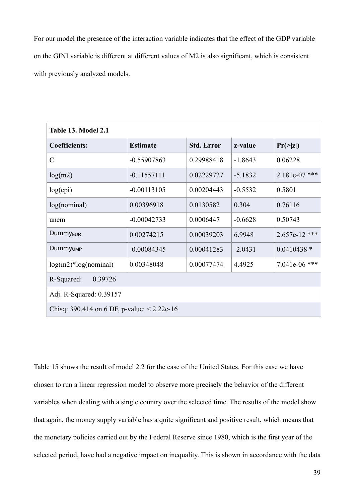For our model the presence of the interaction variable indicates that the effect of the GDP variable on the GINI variable is different at different values of M2 is also significant, which is consistent with previously analyzed models.

| <b>Table 13. Model 2.1</b>                    |                 |                   |           |                 |  |  |  |  |  |  |
|-----------------------------------------------|-----------------|-------------------|-----------|-----------------|--|--|--|--|--|--|
| <b>Coefficients:</b>                          | <b>Estimate</b> | <b>Std. Error</b> | z-value   | $Pr(\geq  z )$  |  |  |  |  |  |  |
| $\mathcal{C}$                                 | $-0.55907863$   | 0.29988418        | $-1.8643$ | 0.06228.        |  |  |  |  |  |  |
| log(m2)                                       | $-0.11557111$   | 0.02229727        | $-5.1832$ | $2.181e-07$ *** |  |  |  |  |  |  |
| log(cpi)                                      | $-0.00113105$   | 0.00204443        | $-0.5532$ | 0.5801          |  |  |  |  |  |  |
| log(nominal)                                  | 0.00396918      | 0.0130582         | 0.304     | 0.76116         |  |  |  |  |  |  |
| unem                                          | $-0.00042733$   | 0.0006447         | $-0.6628$ | 0.50743         |  |  |  |  |  |  |
| Dummy <sub>EUR</sub>                          | 0.00274215      | 0.00039203        | 6.9948    | $2.657e-12$ *** |  |  |  |  |  |  |
| Dummy <sub>UMP</sub>                          | $-0.00084345$   | 0.00041283        | $-2.0431$ | $0.0410438*$    |  |  |  |  |  |  |
| $log(m2)*log(nominal)$                        | 0.00348048      | 0.00077474        | 4.4925    | 7.041e-06 ***   |  |  |  |  |  |  |
| R-Squared:<br>0.39726                         |                 |                   |           |                 |  |  |  |  |  |  |
| Adj. R-Squared: 0.39157                       |                 |                   |           |                 |  |  |  |  |  |  |
| Chisq: 390.414 on 6 DF, p-value: $< 2.22e-16$ |                 |                   |           |                 |  |  |  |  |  |  |

Table 15 shows the result of model 2.2 for the case of the United States. For this case we have chosen to run a linear regression model to observe more precisely the behavior of the different variables when dealing with a single country over the selected time. The results of the model show that again, the money supply variable has a quite significant and positive result, which means that the monetary policies carried out by the Federal Reserve since 1980, which is the first year of the selected period, have had a negative impact on inequality. This is shown in accordance with the data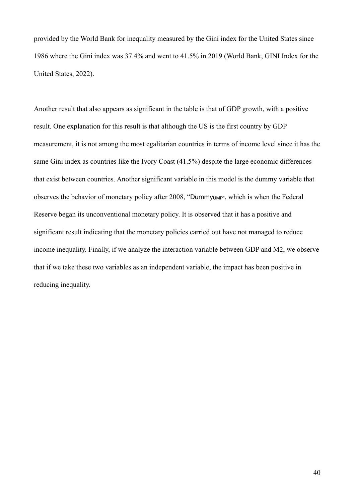provided by the World Bank for inequality measured by the Gini index for the United States since 1986 where the Gini index was 37.4% and went to 41.5% in 2019 (World Bank, GINI Index for the United States, 2022).

Another result that also appears as significant in the table is that of GDP growth, with a positive result. One explanation for this result is that although the US is the first country by GDP measurement, it is not among the most egalitarian countries in terms of income level since it has the same Gini index as countries like the Ivory Coast (41.5%) despite the large economic differences that exist between countries. Another significant variable in this model is the dummy variable that observes the behavior of monetary policy after 2008, "Dummy<sub>UMP"</sub>, which is when the Federal Reserve began its unconventional monetary policy. It is observed that it has a positive and significant result indicating that the monetary policies carried out have not managed to reduce income inequality. Finally, if we analyze the interaction variable between GDP and M2, we observe that if we take these two variables as an independent variable, the impact has been positive in reducing inequality.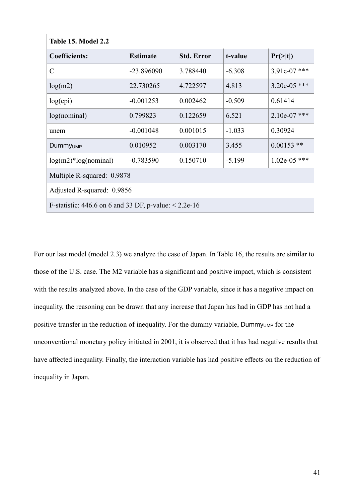| <b>Table 15. Model 2.2</b>                                 |                 |                   |          |                      |  |  |  |  |  |
|------------------------------------------------------------|-----------------|-------------------|----------|----------------------|--|--|--|--|--|
| <b>Coefficients:</b>                                       | <b>Estimate</b> | <b>Std. Error</b> | t-value  | $Pr(>\vert t \vert)$ |  |  |  |  |  |
| $\mathcal{C}$                                              | $-23.896090$    | 3.788440          | $-6.308$ | 3.91e-07 ***         |  |  |  |  |  |
| log(m2)                                                    | 22.730265       | 4.722597          | 4.813    | $3.20e-05$ ***       |  |  |  |  |  |
| log(cpi)                                                   | $-0.001253$     | 0.002462          | $-0.509$ | 0.61414              |  |  |  |  |  |
| log(nominal)                                               | 0.799823        | 0.122659          | 6.521    | $2.10e-07$ ***       |  |  |  |  |  |
| unem                                                       | $-0.001048$     | 0.001015          | $-1.033$ | 0.30924              |  |  |  |  |  |
| <b>Dummy</b> UMP                                           | 0.010952        | 0.003170          | 3.455    | $0.00153$ **         |  |  |  |  |  |
| $log(m2)*log(nominal)$                                     | $-0.783590$     | 0.150710          | $-5.199$ | $1.02e-05$ ***       |  |  |  |  |  |
| Multiple R-squared: 0.9878                                 |                 |                   |          |                      |  |  |  |  |  |
| Adjusted R-squared: 0.9856                                 |                 |                   |          |                      |  |  |  |  |  |
| F-statistic: 446.6 on 6 and 33 DF, p-value: $\leq$ 2.2e-16 |                 |                   |          |                      |  |  |  |  |  |

For our last model (model 2.3) we analyze the case of Japan. In Table 16, the results are similar to those of the U.S. case. The M2 variable has a significant and positive impact, which is consistent with the results analyzed above. In the case of the GDP variable, since it has a negative impact on inequality, the reasoning can be drawn that any increase that Japan has had in GDP has not had a positive transfer in the reduction of inequality. For the dummy variable, Dummy<sub>UMP</sub> for the unconventional monetary policy initiated in 2001, it is observed that it has had negative results that have affected inequality. Finally, the interaction variable has had positive effects on the reduction of inequality in Japan.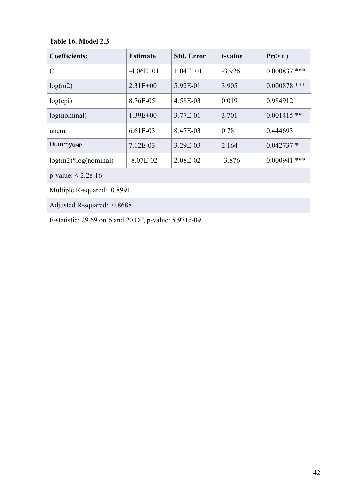| Table 16. Model 2.3                                   |                 |                   |          |                |  |  |  |  |  |  |
|-------------------------------------------------------|-----------------|-------------------|----------|----------------|--|--|--|--|--|--|
| <b>Coefficients:</b>                                  | <b>Estimate</b> | <b>Std. Error</b> | t-value  | $Pr(>= t )$    |  |  |  |  |  |  |
| $\mathcal{C}$                                         | $-4.06E+01$     | $1.04E + 01$      | $-3.926$ | $0.000837$ *** |  |  |  |  |  |  |
| log(m2)                                               | $2.31E + 00$    | 5.92E-01          | 3.905    | $0.000878$ *** |  |  |  |  |  |  |
| log(cpi)                                              | 8.76E-05        | 4.58E-03          | 0.019    | 0.984912       |  |  |  |  |  |  |
| log(nominal)                                          | $1.39E + 00$    | 3.77E-01          | 3.701    | $0.001415$ **  |  |  |  |  |  |  |
| unem                                                  | 6.61E-03        | 8.47E-03          | 0.78     | 0.444693       |  |  |  |  |  |  |
| Dummy <sub>UMP</sub>                                  | 7.12E-03        | 3.29E-03          | 2.164    | $0.042737*$    |  |  |  |  |  |  |
| $log(m2)*log(nominal)$                                | $-8.07E-02$     | 2.08E-02          | $-3.876$ | $0.000941$ *** |  |  |  |  |  |  |
| $p$ -value: < 2.2e-16                                 |                 |                   |          |                |  |  |  |  |  |  |
| Multiple R-squared: 0.8991                            |                 |                   |          |                |  |  |  |  |  |  |
| Adjusted R-squared: 0.8688                            |                 |                   |          |                |  |  |  |  |  |  |
| F-statistic: 29.69 on 6 and 20 DF, p-value: 5.971e-09 |                 |                   |          |                |  |  |  |  |  |  |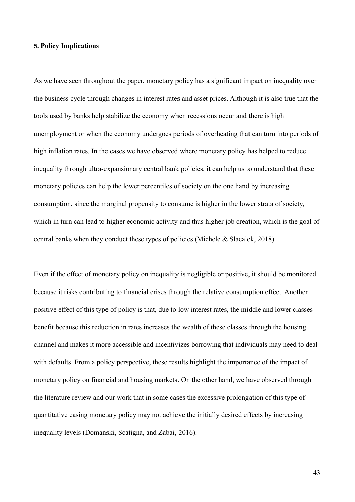#### **5. Policy Implications**

As we have seen throughout the paper, monetary policy has a significant impact on inequality over the business cycle through changes in interest rates and asset prices. Although it is also true that the tools used by banks help stabilize the economy when recessions occur and there is high unemployment or when the economy undergoes periods of overheating that can turn into periods of high inflation rates. In the cases we have observed where monetary policy has helped to reduce inequality through ultra-expansionary central bank policies, it can help us to understand that these monetary policies can help the lower percentiles of society on the one hand by increasing consumption, since the marginal propensity to consume is higher in the lower strata of society, which in turn can lead to higher economic activity and thus higher job creation, which is the goal of central banks when they conduct these types of policies (Michele & Slacalek, 2018).

Even if the effect of monetary policy on inequality is negligible or positive, it should be monitored because it risks contributing to financial crises through the relative consumption effect. Another positive effect of this type of policy is that, due to low interest rates, the middle and lower classes benefit because this reduction in rates increases the wealth of these classes through the housing channel and makes it more accessible and incentivizes borrowing that individuals may need to deal with defaults. From a policy perspective, these results highlight the importance of the impact of monetary policy on financial and housing markets. On the other hand, we have observed through the literature review and our work that in some cases the excessive prolongation of this type of quantitative easing monetary policy may not achieve the initially desired effects by increasing inequality levels (Domanski, Scatigna, and Zabai, 2016).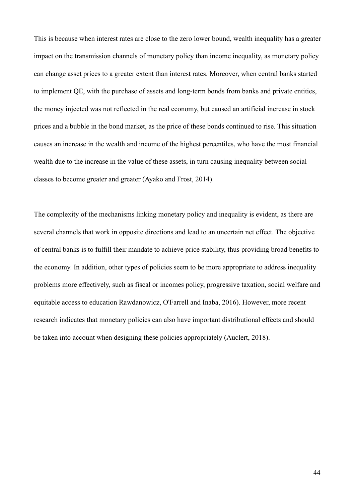This is because when interest rates are close to the zero lower bound, wealth inequality has a greater impact on the transmission channels of monetary policy than income inequality, as monetary policy can change asset prices to a greater extent than interest rates. Moreover, when central banks started to implement QE, with the purchase of assets and long-term bonds from banks and private entities, the money injected was not reflected in the real economy, but caused an artificial increase in stock prices and a bubble in the bond market, as the price of these bonds continued to rise. This situation causes an increase in the wealth and income of the highest percentiles, who have the most financial wealth due to the increase in the value of these assets, in turn causing inequality between social classes to become greater and greater (Ayako and Frost, 2014).

The complexity of the mechanisms linking monetary policy and inequality is evident, as there are several channels that work in opposite directions and lead to an uncertain net effect. The objective of central banks is to fulfill their mandate to achieve price stability, thus providing broad benefits to the economy. In addition, other types of policies seem to be more appropriate to address inequality problems more effectively, such as fiscal or incomes policy, progressive taxation, social welfare and equitable access to education Rawdanowicz, O'Farrell and Inaba, 2016). However, more recent research indicates that monetary policies can also have important distributional effects and should be taken into account when designing these policies appropriately (Auclert, 2018).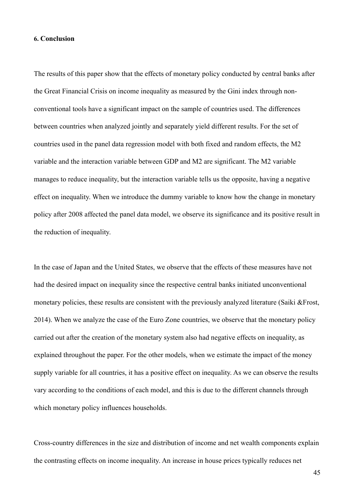#### **6. Conclusion**

The results of this paper show that the effects of monetary policy conducted by central banks after the Great Financial Crisis on income inequality as measured by the Gini index through nonconventional tools have a significant impact on the sample of countries used. The differences between countries when analyzed jointly and separately yield different results. For the set of countries used in the panel data regression model with both fixed and random effects, the M2 variable and the interaction variable between GDP and M2 are significant. The M2 variable manages to reduce inequality, but the interaction variable tells us the opposite, having a negative effect on inequality. When we introduce the dummy variable to know how the change in monetary policy after 2008 affected the panel data model, we observe its significance and its positive result in the reduction of inequality.

In the case of Japan and the United States, we observe that the effects of these measures have not had the desired impact on inequality since the respective central banks initiated unconventional monetary policies, these results are consistent with the previously analyzed literature (Saiki &Frost, 2014). When we analyze the case of the Euro Zone countries, we observe that the monetary policy carried out after the creation of the monetary system also had negative effects on inequality, as explained throughout the paper. For the other models, when we estimate the impact of the money supply variable for all countries, it has a positive effect on inequality. As we can observe the results vary according to the conditions of each model, and this is due to the different channels through which monetary policy influences households.

Cross-country differences in the size and distribution of income and net wealth components explain the contrasting effects on income inequality. An increase in house prices typically reduces net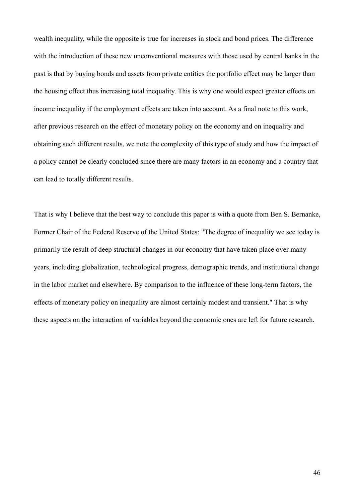wealth inequality, while the opposite is true for increases in stock and bond prices. The difference with the introduction of these new unconventional measures with those used by central banks in the past is that by buying bonds and assets from private entities the portfolio effect may be larger than the housing effect thus increasing total inequality. This is why one would expect greater effects on income inequality if the employment effects are taken into account. As a final note to this work, after previous research on the effect of monetary policy on the economy and on inequality and obtaining such different results, we note the complexity of this type of study and how the impact of a policy cannot be clearly concluded since there are many factors in an economy and a country that can lead to totally different results.

That is why I believe that the best way to conclude this paper is with a quote from Ben S. Bernanke, Former Chair of the Federal Reserve of the United States: "The degree of inequality we see today is primarily the result of deep structural changes in our economy that have taken place over many years, including globalization, technological progress, demographic trends, and institutional change in the labor market and elsewhere. By comparison to the influence of these long-term factors, the effects of monetary policy on inequality are almost certainly modest and transient." That is why these aspects on the interaction of variables beyond the economic ones are left for future research.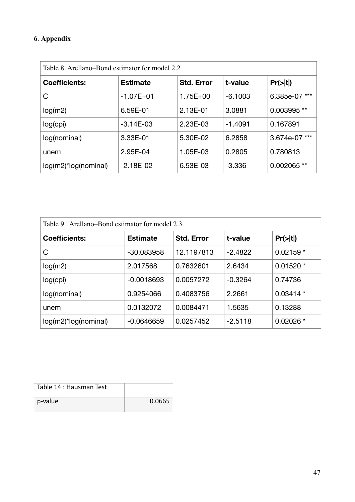## **6**. **Appendix**

| Table 8. Arellano–Bond estimator for model 2.2 |                                      |              |           |               |  |  |  |  |  |
|------------------------------------------------|--------------------------------------|--------------|-----------|---------------|--|--|--|--|--|
| <b>Coefficients:</b>                           | <b>Estimate</b><br><b>Std. Error</b> |              | t-value   | Pr(> t )      |  |  |  |  |  |
| C                                              | $-1.07E + 01$                        | $1.75E + 00$ | $-6.1003$ | 6.385e-07 *** |  |  |  |  |  |
| log(m2)                                        | 6.59E-01                             | 2.13E-01     | 3.0881    | 0.003995 **   |  |  |  |  |  |
| log(cpi)                                       | $-3.14E-03$                          | 2.23E-03     | -1.4091   | 0.167891      |  |  |  |  |  |
| log(nominal)                                   | 3.33E-01                             | 5.30E-02     | 6.2858    | 3.674e-07 *** |  |  |  |  |  |
| unem                                           | 2.95E-04                             | 1.05E-03     | 0.2805    | 0.780813      |  |  |  |  |  |
| $log(m2)^*log(nominal)$                        | $-2.18E-02$                          | 6.53E-03     | $-3.336$  | 0.002065 **   |  |  |  |  |  |

| Table 9. Arellano–Bond estimator for model 2.3 |                                      |            |           |            |  |  |  |  |  |  |
|------------------------------------------------|--------------------------------------|------------|-----------|------------|--|--|--|--|--|--|
| <b>Coefficients:</b>                           | <b>Estimate</b><br><b>Std. Error</b> |            | t-value   | Pr(> t )   |  |  |  |  |  |  |
| C                                              | -30.083958                           | 12.1197813 | $-2.4822$ | $0.02159*$ |  |  |  |  |  |  |
| log(m2)                                        | 2.017568                             | 0.7632601  | 2.6434    | $0.01520*$ |  |  |  |  |  |  |
| log(cpi)                                       | $-0.0018693$                         | 0.0057272  | $-0.3264$ | 0.74736    |  |  |  |  |  |  |
| log(nominal)                                   | 0.9254066                            | 0.4083756  | 2.2661    | $0.03414*$ |  |  |  |  |  |  |
| unem                                           | 0.0132072                            | 0.0084471  | 1.5635    | 0.13288    |  |  |  |  |  |  |
| log(m2)*log(nominal)                           | $-0.0646659$                         | 0.0257452  | $-2.5118$ | $0.02026*$ |  |  |  |  |  |  |

| Table 14 : Hausman Test |        |
|-------------------------|--------|
| p-value                 | 0.0665 |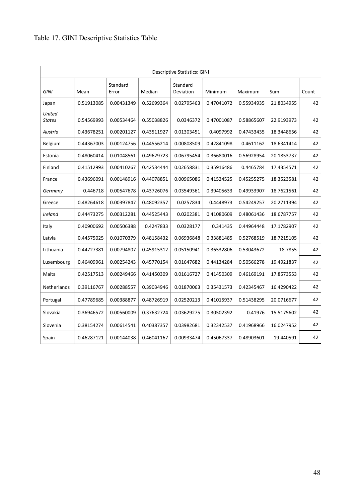| <b>Descriptive Statistics: GINI</b> |            |                   |            |                       |            |            |            |       |  |  |
|-------------------------------------|------------|-------------------|------------|-----------------------|------------|------------|------------|-------|--|--|
| <b>GINI</b>                         | Mean       | Standard<br>Error | Median     | Standard<br>Deviation | Minimum    | Maximum    | Sum        | Count |  |  |
| Japan                               | 0.51913085 | 0.00431349        | 0.52699364 | 0.02795463            | 0.47041072 | 0.55934935 | 21.8034955 | 42    |  |  |
| United<br><b>States</b>             | 0.54569993 | 0.00534464        | 0.55038826 | 0.0346372             | 0.47001087 | 0.58865607 | 22.9193973 | 42    |  |  |
| Austria                             | 0.43678251 | 0.00201127        | 0.43511927 | 0.01303451            | 0.4097992  | 0.47433435 | 18.3448656 | 42    |  |  |
| Belgium                             | 0.44367003 | 0.00124756        | 0.44556214 | 0.00808509            | 0.42841098 | 0.4611162  | 18.6341414 | 42    |  |  |
| Estonia                             | 0.48060414 | 0.01048561        | 0.49629723 | 0.06795454            | 0.36680016 | 0.56928954 | 20.1853737 | 42    |  |  |
| Finland                             | 0.41512993 | 0.00410267        | 0.42534444 | 0.02658831            | 0.35916486 | 0.4465784  | 17.4354571 | 42    |  |  |
| France                              | 0.43696091 | 0.00148916        | 0.44078851 | 0.00965086            | 0.41524525 | 0.45255275 | 18.3523581 | 42    |  |  |
| Germany                             | 0.446718   | 0.00547678        | 0.43726076 | 0.03549361            | 0.39405633 | 0.49933907 | 18.7621561 | 42    |  |  |
| Greece                              | 0.48264618 | 0.00397847        | 0.48092357 | 0.0257834             | 0.4448973  | 0.54249257 | 20.2711394 | 42    |  |  |
| Ireland                             | 0.44473275 | 0.00312281        | 0.44525443 | 0.0202381             | 0.41080609 | 0.48061436 | 18.6787757 | 42    |  |  |
| Italy                               | 0.40900692 | 0.00506388        | 0.4247833  | 0.0328177             | 0.341435   | 0.44964448 | 17.1782907 | 42    |  |  |
| Latvia                              | 0.44575025 | 0.01070379        | 0.48158432 | 0.06936848            | 0.33881485 | 0.52768519 | 18.7215105 | 42    |  |  |
| Lithuania                           | 0.44727381 | 0.00794807        | 0.45915312 | 0.05150941            | 0.36532806 | 0.53043672 | 18.7855    | 42    |  |  |
| Luxembourg                          | 0.46409961 | 0.00254243        | 0.45770154 | 0.01647682            | 0.44134284 | 0.50566278 | 19.4921837 | 42    |  |  |
| Malta                               | 0.42517513 | 0.00249466        | 0.41450309 | 0.01616727            | 0.41450309 | 0.46169191 | 17.8573553 | 42    |  |  |
| Netherlands                         | 0.39116767 | 0.00288557        | 0.39034946 | 0.01870063            | 0.35431573 | 0.42345467 | 16.4290422 | 42    |  |  |
| Portugal                            | 0.47789685 | 0.00388877        | 0.48726919 | 0.02520213            | 0.41015937 | 0.51438295 | 20.0716677 | 42    |  |  |
| Slovakia                            | 0.36946572 | 0.00560009        | 0.37632724 | 0.03629275            | 0.30502392 | 0.41976    | 15.5175602 | 42    |  |  |
| Slovenia                            | 0.38154274 | 0.00614541        | 0.40387357 | 0.03982681            | 0.32342537 | 0.41968966 | 16.0247952 | 42    |  |  |
| Spain                               | 0.46287121 | 0.00144038        | 0.46041167 | 0.00933474            | 0.45067337 | 0.48903601 | 19.440591  | 42    |  |  |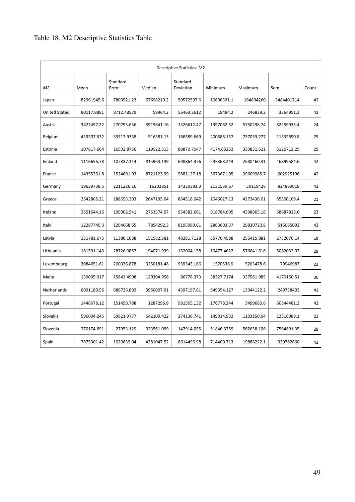| <b>Descriptive Statistics: M2</b> |            |                   |            |                       |            |            |            |       |  |  |
|-----------------------------------|------------|-------------------|------------|-----------------------|------------|------------|------------|-------|--|--|
| M <sub>2</sub>                    | Mean       | Standard<br>Error | Median     | Standard<br>Deviation | Minimum    | Maximum    | Sum        | Count |  |  |
| Japan                             | 82961945.6 | 7803521.23        | 67698219.2 | 50572597.6            | 10606331.1 | 164894260  | 3484401714 | 42    |  |  |
| <b>United States</b>              | 80117.8881 | 8712.48579        | 59964.2    | 56463.3612            | 18484.2    | 246839.2   | 3364951.3  | 42    |  |  |
| Austria                           | 3427497.22 | 270793.636        | 3919641.16 | 1326612.47            | 1397062.52 | 5750298.74 | 82259933.4 | 24    |  |  |
| Belgium                           | 453307.632 | 33317.9338        | 516381.13  | 166589.669            | 200688.157 | 737053.277 | 11332690.8 | 25    |  |  |
| Estonia                           | 107817.664 | 16502.8756        | 119922.513 | 88870.7047            | 4174.65252 | 330831.521 | 3126712.25 | 29    |  |  |
| Finland                           | 1116656.78 | 107837.114        | 815963.139 | 698864.376            | 235368.243 | 2680460.31 | 46899584.6 | 42    |  |  |
| France                            | 14355361.8 | 1524691.03        | 8721123.99 | 9881127.18            | 3673671.05 | 39609985.7 | 602925196  | 42    |  |  |
| Germany                           | 19639738.5 | 2211226.16        | 16202851   | 14330383.3            | 2131539.67 | 50119428   | 824869018  | 42    |  |  |
| Greece                            | 2642865.21 | 188653.303        | 2647195.04 | 864518.042            | 1046027.13 | 4273436.01 | 55500169.4 | 21    |  |  |
| Ireland                           | 2551644.16 | 199002.541        | 2753574.57 | 954382.661            | 918784.605 | 4398865.18 | 58687815.6 | 23    |  |  |
| Italy                             | 12287740.3 | 1264668.65        | 7854292.3  | 8195989.61            | 2863603.37 | 29830720.8 | 516085092  | 42    |  |  |
| Latvia                            | 151781.675 | 11380.1088        | 151582.581 | 48281.7128            | 55776.4588 | 256415.881 | 2732070.14 | 18    |  |  |
| Lithuania                         | 181501.143 | 28726.0857        | 194071.939 | 152004.158            | 10477.4622 | 576641.618 | 5082032.02 | 28    |  |  |
| Luxembourg                        | 3084651.61 | 200036.878        | 3250181.48 | 959343.166            | 1570536.9  | 5203478.6  | 70946987   | 23    |  |  |
| Malta                             | 139005.017 | 15843.4908        | 120304.958 | 86778.373             | 38327.7174 | 337581.085 | 4170150.51 | 30    |  |  |
| Netherlands                       | 6091180.56 | 686726.892        | 3950007.91 | 4397197.61            | 549354.127 | 13044122.2 | 249738403  | 41    |  |  |
| Portugal                          | 1448678.12 | 151458.788        | 1287296.8  | 981565.132            | 176778.244 | 3499680.6  | 60844481.2 | 42    |  |  |
| Slovakia                          | 596004.245 | 59821.9777        | 642109.422 | 274138.741            | 149014.932 | 1103150.04 | 12516089.1 | 21    |  |  |
| Slovenia                          | 270174.691 | 27953.129         | 323561.099 | 147914.055            | 51846.3759 | 562638.106 | 7564891.35 | 28    |  |  |
| Spain                             | 7875301.42 | 1020639.04        | 4381047.52 | 6614496.98            | 714400.713 | 19886222.1 | 330762660  | 42    |  |  |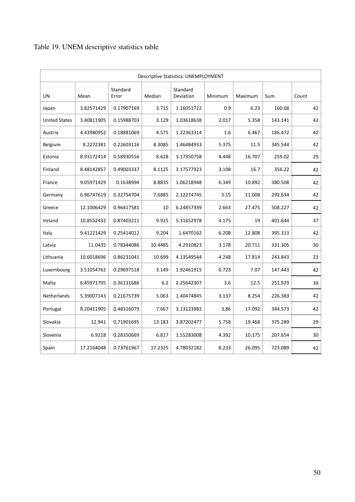| <b>Descriptive Statistics: UNEMPLOYMENT</b> |            |                   |         |                       |         |         |         |       |  |  |
|---------------------------------------------|------------|-------------------|---------|-----------------------|---------|---------|---------|-------|--|--|
| UN                                          | Mean       | Standard<br>Error | Median  | Standard<br>Deviation | Minimum | Maximum | Sum     | Count |  |  |
| Japan                                       | 3.82571429 | 0.17907169        | 3.715   | 1.16051722            | 0.9     | 6.23    | 160.68  | 42    |  |  |
| <b>United States</b>                        | 3.40811905 | 0.15988703        | 3.129   | 1.03618638            | 2.017   | 5.358   | 143.141 | 42    |  |  |
| Austria                                     | 4.43980952 | 0.18881069        | 4.575   | 1.22363314            | 1.6     | 6.467   | 186.472 | 42    |  |  |
| Belgium                                     | 8.2272381  | 0.22603116        | 8.3085  | 1.46484933            | 5.375   | 11.5    | 345.544 | 42    |  |  |
| Estonia                                     | 8.93172414 | 0.58930556        | 8.628   | 3.17350758            | 4.448   | 16.707  | 259.02  | 29    |  |  |
| Finland                                     | 8.48142857 | 0.49003337        | 8.1125  | 3.17577923            | 3.108   | 16.7    | 356.22  | 42    |  |  |
| France                                      | 9.05971429 | 0.1638994         | 8.8835  | 1.06218948            | 6.349   | 10.892  | 380.508 | 42    |  |  |
| Germany                                     | 6.96747619 | 0.32754704        | 7.6885  | 2.12274745            | 3.15    | 11.008  | 292.634 | 42    |  |  |
| Greece                                      | 12.1006429 | 0.96417581        | 10      | 6.24857339            | 2.663   | 27.475  | 508.227 | 42    |  |  |
| Ireland                                     | 10.8552432 | 0.87403211        | 9.925   | 5.31652978            | 4.175   | 19      | 401.644 | 37    |  |  |
| Italy                                       | 9.41221429 | 0.25414012        | 9.204   | 1.6470162             | 6.208   | 12.808  | 395.313 | 42    |  |  |
| Latvia                                      | 11.0435    | 0.78344086        | 10.4485 | 4.2910823             | 3.178   | 20.711  | 331.305 | 30    |  |  |
| Lithuania                                   | 10.6018696 | 0.86231041        | 10.699  | 4.13549544            | 4.248   | 17.814  | 243.843 | 23    |  |  |
| Luxembourg                                  | 3.51054762 | 0.29697518        | 3.149   | 1.92461915            | 0.723   | 7.07    | 147.443 | 42    |  |  |
| Malta                                       | 6.45971795 | 0.36131686        | 6.2     | 2.25642307            | 3.6     | 12.5    | 251.929 | 39    |  |  |
| Netherlands                                 | 5.39007143 | 0.21675739        | 5.063   | 1.40474845            | 3.137   | 8.254   | 226.383 | 42    |  |  |
| Portugal                                    | 8.20411905 | 0.48316079        | 7.667   | 3.13123982            | 3.86    | 17.092  | 344.573 | 42    |  |  |
| Slovakia                                    | 12.941     | 0.71901695        | 13.183  | 3.87202477            | 5.758   | 19.458  | 375.289 | 29    |  |  |
| Slovenia                                    | 6.9218     | 0.28350669        | 6.817   | 1.55283008            | 4.392   | 10.175  | 207.654 | 30    |  |  |
| Spain                                       | 17.2164048 | 0.73761967        | 17.2325 | 4.78032182            | 8.233   | 26.095  | 723.089 | 42    |  |  |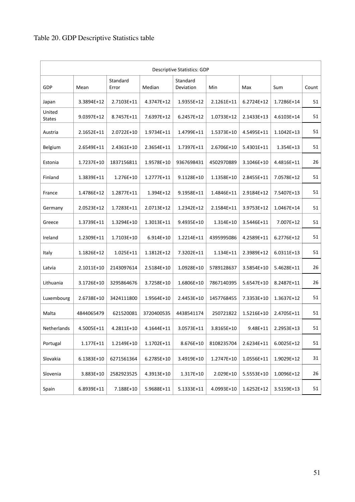| <b>Descriptive Statistics: GDP</b> |            |                   |            |                       |            |              |              |       |  |  |
|------------------------------------|------------|-------------------|------------|-----------------------|------------|--------------|--------------|-------|--|--|
| GDP                                | Mean       | Standard<br>Error | Median     | Standard<br>Deviation | Min        | Max          | Sum          | Count |  |  |
| Japan                              | 3.3894E+12 | 2.7103E+11        | 4.3747E+12 | 1.9355E+12            | 2.1261E+11 | $6.2724E+12$ | 1.7286E+14   | 51    |  |  |
| United<br><b>States</b>            | 9.0397E+12 | 8.7457E+11        | 7.6397E+12 | 6.2457E+12            | 1.0733E+12 | 2.1433E+13   | 4.6103E+14   | 51    |  |  |
| Austria                            | 2.1652E+11 | 2.0722E+10        | 1.9734E+11 | 1.4799E+11            | 1.5373E+10 | 4.5495E+11   | $1.1042E+13$ | 51    |  |  |
| Belgium                            | 2.6549E+11 | 2.4361E+10        | 2.3654E+11 | 1.7397E+11            | 2.6706E+10 | 5.4301E+11   | 1.354E+13    | 51    |  |  |
| Estonia                            | 1.7237E+10 | 1837156811        | 1.9578E+10 | 9367698431            | 4502970889 | 3.1046E+10   | 4.4816E+11   | 26    |  |  |
| Finland                            | 1.3839E+11 | 1.276E+10         | 1.2777E+11 | 9.1128E+10            | 1.1358E+10 | 2.8455E+11   | 7.0578E+12   | 51    |  |  |
| France                             | 1.4786E+12 | 1.2877E+11        | 1.394E+12  | 9.1958E+11            | 1.4846E+11 | 2.9184E+12   | 7.5407E+13   | 51    |  |  |
| Germany                            | 2.0523E+12 | 1.7283E+11        | 2.0713E+12 | 1.2342E+12            | 2.1584E+11 | 3.9753E+12   | 1.0467E+14   | 51    |  |  |
| Greece                             | 1.3739E+11 | 1.3294E+10        | 1.3013E+11 | 9.4935E+10            | 1.314E+10  | 3.5446E+11   | 7.007E+12    | 51    |  |  |
| Ireland                            | 1.2309E+11 | 1.7103E+10        | 6.914E+10  | 1.2214E+11            | 4395995086 | 4.2589E+11   | 6.2776E+12   | 51    |  |  |
| Italy                              | 1.1826E+12 | 1.025E+11         | 1.1812E+12 | 7.3202E+11            | 1.134E+11  | 2.3989E+12   | 6.0311E+13   | 51    |  |  |
| Latvia                             | 2.1011E+10 | 2143097614        | 2.5184E+10 | 1.0928E+10            | 5789128637 | 3.5854E+10   | 5.4628E+11   | 26    |  |  |
| Lithuania                          | 3.1726E+10 | 3295864676        | 3.7258E+10 | 1.6806E+10            | 7867140395 | 5.6547E+10   | 8.2487E+11   | 26    |  |  |
| Luxembourg                         | 2.6738E+10 | 3424111800        | 1.9564E+10 | 2.4453E+10            | 1457768455 | 7.3353E+10   | 1.3637E+12   | 51    |  |  |
| Malta                              | 4844065479 | 621520081         | 3720400535 | 4438541174            | 250721822  | 1.5216E+10   | 2.4705E+11   | 51    |  |  |
| Netherlands                        | 4.5005E+11 | 4.2811E+10        | 4.1644E+11 | 3.0573E+11            | 3.8165E+10 | $9.48E + 11$ | 2.2953E+13   | 51    |  |  |
| Portugal                           | 1.177E+11  | 1.2149E+10        | 1.1702E+11 | 8.676E+10             | 8108235704 | 2.6234E+11   | 6.0025E+12   | 51    |  |  |
| Slovakia                           | 6.1383E+10 | 6271561364        | 6.2785E+10 | 3.4919E+10            | 1.2747E+10 | 1.0556E+11   | 1.9029E+12   | 31    |  |  |
| Slovenia                           | 3.883E+10  | 2582923525        | 4.3913E+10 | 1.317E+10             | 2.029E+10  | 5.5553E+10   | 1.0096E+12   | 26    |  |  |
| Spain                              | 6.8939E+11 | 7.188E+10         | 5.9688E+11 | 5.1333E+11            | 4.0993E+10 | 1.6252E+12   | 3.5159E+13   | 51    |  |  |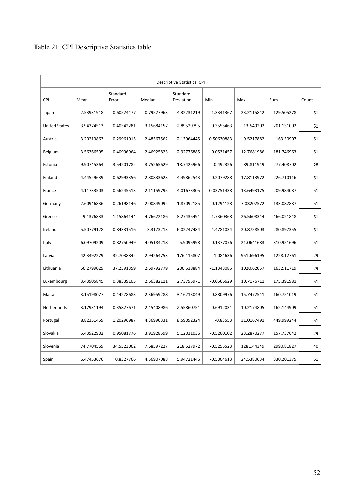## Table 21. CPI Descriptive Statistics table

| <b>Descriptive Statistics: CPI</b> |            |                   |            |                       |              |            |            |       |  |
|------------------------------------|------------|-------------------|------------|-----------------------|--------------|------------|------------|-------|--|
| <b>CPI</b>                         | Mean       | Standard<br>Error | Median     | Standard<br>Deviation | Min          | Max        | Sum        | Count |  |
| Japan                              | 2.53931918 | 0.60524477        | 0.79527963 | 4.32231219            | $-1.3341367$ | 23.2115842 | 129.505278 | 51    |  |
| <b>United States</b>               | 3.94374513 | 0.40542281        | 3.15684157 | 2.89529795            | $-0.3555463$ | 13.549202  | 201.131002 | 51    |  |
| Austria                            | 3.20213863 | 0.29961015        | 2.48567562 | 2.13964445            | 0.50630883   | 9.5217882  | 163.30907  | 51    |  |
| Belgium                            | 3.56366595 | 0.40996964        | 2.46925823 | 2.92776885            | $-0.0531457$ | 12.7681986 | 181.746963 | 51    |  |
| Estonia                            | 9.90745364 | 3.54201782        | 3.75265629 | 18.7425966            | $-0.492326$  | 89.811949  | 277.408702 | 28    |  |
| Finland                            | 4.44529639 | 0.62993356        | 2.80833623 | 4.49862543            | $-0.2079288$ | 17.8113972 | 226.710116 | 51    |  |
| France                             | 4.11733503 | 0.56245513        | 2.11159795 | 4.01673305            | 0.03751438   | 13.6493175 | 209.984087 | 51    |  |
| Germany                            | 2.60946836 | 0.26198146        | 2.00849092 | 1.87092185            | $-0.1294128$ | 7.03202572 | 133.082887 | 51    |  |
| Greece                             | 9.1376833  | 1.15864144        | 4.76622186 | 8.27435491            | $-1.7360368$ | 26.5608344 | 466.021848 | 51    |  |
| Ireland                            | 5.50779128 | 0.84331516        | 3.3173213  | 6.02247484            | -4.4781034   | 20.8758503 | 280.897355 | 51    |  |
| Italy                              | 6.09709209 | 0.82750949        | 4.05184218 | 5.9095998             | $-0.1377076$ | 21.0641683 | 310.951696 | 51    |  |
| Latvia                             | 42.3492279 | 32.7038842        | 2.94264753 | 176.115807            | $-1.084636$  | 951.696195 | 1228.12761 | 29    |  |
| Lithuania                          | 56.2799029 | 37.2391359        | 2.69792779 | 200.538884            | -1.1343085   | 1020.62057 | 1632.11719 | 29    |  |
| Luxembourg                         | 3.43905845 | 0.38339105        | 2.66382111 | 2.73795971            | $-0.0566629$ | 10.7176711 | 175.391981 | 51    |  |
| Malta                              | 3.15198077 | 0.44278683        | 2.36959288 | 3.16213049            | $-0.8809976$ | 15.7472541 | 160.751019 | 51    |  |
| Netherlands                        | 3.17931194 | 0.35827671        | 2.45408986 | 2.55860751            | $-0.6912031$ | 10.2174805 | 162.144909 | 51    |  |
| Portugal                           | 8.82351459 | 1.20296987        | 4.36990331 | 8.59092324            | $-0.83553$   | 31.0167491 | 449.999244 | 51    |  |
| Slovakia                           | 5.43922902 | 0.95081776        | 3.91928599 | 5.12031036            | $-0.5200102$ | 23.2870277 | 157.737642 | 29    |  |
| Slovenia                           | 74.7704569 | 34.5523062        | 7.68597227 | 218.527972            | $-0.5255523$ | 1281.44349 | 2990.81827 | 40    |  |
| Spain                              | 6.47453676 | 0.8327766         | 4.56907088 | 5.94721446            | $-0.5004613$ | 24.5380634 | 330.201375 | 51    |  |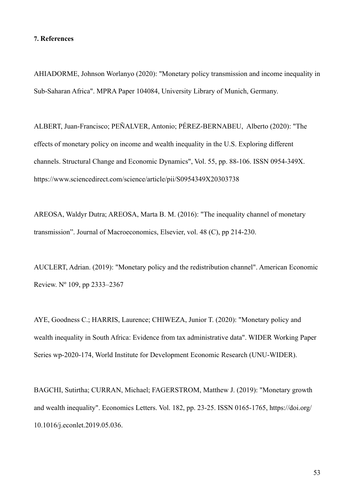#### **7. References**

AHIADORME, Johnson Worlanyo (2020): "Monetary policy transmission and income inequality in Sub-Saharan Africa". MPRA Paper 104084, University Library of Munich, Germany.

ALBERT, Juan-Francisco; PEÑALVER, Antonio; PÉREZ-BERNABEU, Alberto (2020): "The effects of monetary policy on income and wealth inequality in the U.S. Exploring different channels. Structural Change and Economic Dynamics", Vol. 55, pp. 88-106. ISSN 0954-349X. https://www.sciencedirect.com/science/article/pii/S0954349X20303738

AREOSA, Waldyr Dutra; AREOSA, Marta B. M. (2016): "The inequality channel of monetary transmission". Journal of Macroeconomics, Elsevier, vol. 48 (C), pp 214-230.

AUCLERT, Adrian. (2019): "Monetary policy and the redistribution channel". American Economic Review. Nº 109, pp 2333–2367

AYE, Goodness C.; HARRIS, Laurence; CHIWEZA, Junior T. (2020): "Monetary policy and wealth inequality in South Africa: Evidence from tax administrative data". WIDER Working Paper Series wp-2020-174, World Institute for Development Economic Research (UNU-WIDER).

BAGCHI, Sutirtha; CURRAN, Michael; FAGERSTROM, Matthew J. (2019): "Monetary growth and wealth inequality". Economics Letters. Vol. 182, pp. 23-25. ISSN 0165-1765, https://doi.org/ 10.1016/j.econlet.2019.05.036.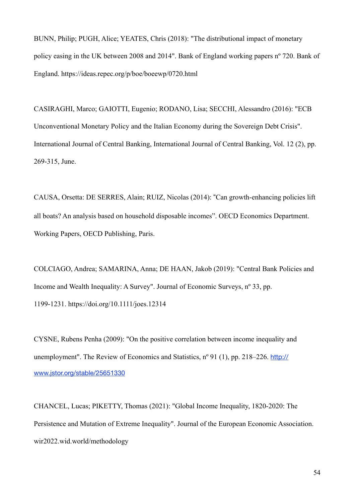BUNN, Philip; PUGH, Alice; YEATES, Chris (2018): "The distributional impact of monetary policy easing in the UK between 2008 and 2014". Bank of England working papers nº 720. Bank of England. https://ideas.repec.org/p/boe/boeewp/0720.html

CASIRAGHI, Marco; GAIOTTI, Eugenio; RODANO, Lisa; SECCHI, Alessandro (2016): "ECB Unconventional Monetary Policy and the Italian Economy during the Sovereign Debt Crisis". International Journal of Central Banking, International Journal of Central Banking, Vol. 12 (2), pp. 269-315, June.

CAUSA, Orsetta: DE SERRES, Alain; RUIZ, Nicolas (2014): #Can growth-enhancing policies lift all boats? An analysis based on household disposable incomes". OECD Economics Department. Working Papers, OECD Publishing, Paris.

COLCIAGO, Andrea; SAMARINA, Anna; DE HAAN, Jakob (2019): "Central Bank Policies and Income and Wealth Inequality: A Survey". Journal of Economic Surveys, nº 33, pp. 1199-1231. https://doi.org/10.1111/joes.12314

CYSNE, Rubens Penha (2009): "On the positive correlation between income inequality and unemployment". The Review of Economics and Statistics, n° 91 (1), pp. 218–226. [http://](http://www.jstor.org/stable/25651330) [www.jstor.org/stable/25651330](http://www.jstor.org/stable/25651330)

CHANCEL, Lucas; PIKETTY, Thomas (2021): "Global Income Inequality, 1820-2020: The Persistence and Mutation of Extreme Inequality". Journal of the European Economic Association. wir2022.wid.world/methodology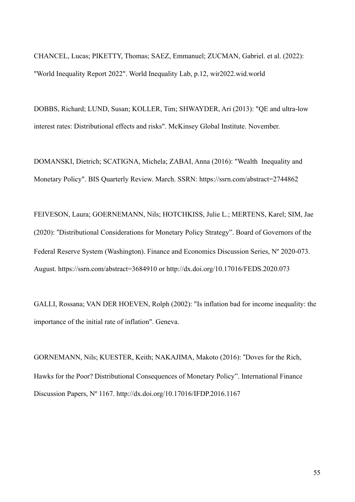CHANCEL, Lucas; PIKETTY, Thomas; SAEZ, Emmanuel; ZUCMAN, Gabriel. et al. (2022): "World Inequality Report 2022". World Inequality Lab, p.12, wir2022.wid.world

DOBBS, Richard; LUND, Susan; KOLLER, Tim; SHWAYDER, Ari (2013): "QE and ultra-low interest rates: Distributional effects and risks". McKinsey Global Institute. November.

DOMANSKI, Dietrich; SCATIGNA, Michela; ZABAI, Anna (2016): "Wealth Inequality and Monetary Policy". BIS Quarterly Review. March. SSRN: https://ssrn.com/abstract=2744862

FEIVESON, Laura; GOERNEMANN, Nils; HOTCHKISS, Julie L.; MERTENS, Karel; SIM, Jae (2020): #Distributional Considerations for Monetary Policy Strategy". Board of Governors of the Federal Reserve System (Washington). Finance and Economics Discussion Series, Nº 2020-073. August. https://ssrn.com/abstract=3684910 or http://dx.doi.org/10.17016/FEDS.2020.073

GALLI, Rossana; VAN DER HOEVEN, Rolph (2002): "Is inflation bad for income inequality: the importance of the initial rate of inflation". Geneva.

GORNEMANN, Nils; KUESTER, Keith; NAKAJIMA, Makoto (2016): #Doves for the Rich, Hawks for the Poor? Distributional Consequences of Monetary Policy". International Finance Discussion Papers, Nº 1167. http://dx.doi.org/10.17016/IFDP.2016.1167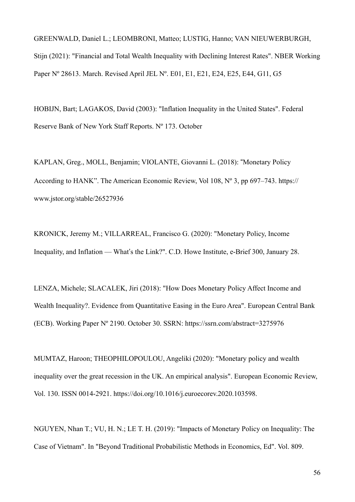GREENWALD, Daniel L.; LEOMBRONI, Matteo; LUSTIG, Hanno; VAN NIEUWERBURGH, Stijn (2021): "Financial and Total Wealth Inequality with Declining Interest Rates". NBER Working Paper Nº 28613. March. Revised April JEL Nº. E01, E1, E21, E24, E25, E44, G11, G5

HOBIJN, Bart; LAGAKOS, David (2003): "Inflation Inequality in the United States". Federal Reserve Bank of New York Staff Reports. Nº 173. October

KAPLAN, Greg., MOLL, Benjamin; VIOLANTE, Giovanni L. (2018): #Monetary Policy According to HANK". The American Economic Review, Vol 108, Nº 3, pp 697–743. https:// www.jstor.org/stable/26527936

KRONICK, Jeremy M.; VILLARREAL, Francisco G. (2020): "Monetary Policy, Income Inequality, and Inflation — What's the Link?". C.D. Howe Institute, e-Brief 300, January 28.

LENZA, Michele; SLACALEK, Jiri (2018): "How Does Monetary Policy Affect Income and Wealth Inequality?. Evidence from Quantitative Easing in the Euro Area". European Central Bank (ECB). Working Paper Nº 2190. October 30. SSRN: https://ssrn.com/abstract=3275976

MUMTAZ, Haroon; THEOPHILOPOULOU, Angeliki (2020): "Monetary policy and wealth inequality over the great recession in the UK. An empirical analysis". European Economic Review, Vol. 130. ISSN 0014-2921. https://doi.org/10.1016/j.euroecorev.2020.103598.

NGUYEN, Nhan T.; VU, H. N.; LE T. H. (2019): "Impacts of Monetary Policy on Inequality: The Case of Vietnam". In "Beyond Traditional Probabilistic Methods in Economics, Ed". Vol. 809.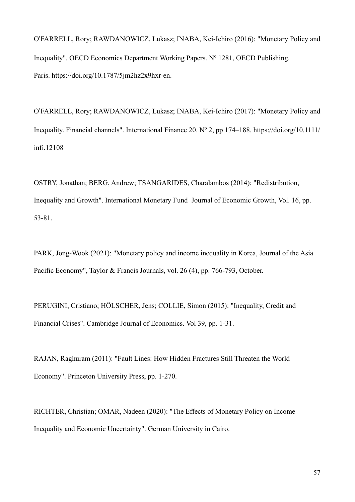O!FARRELL, Rory; RAWDANOWICZ, Lukasz; INABA, Kei-Ichiro (2016): "Monetary Policy and Inequality". OECD Economics Department Working Papers. Nº 1281, OECD Publishing. Paris. https://doi.org/10.1787/5jm2hz2x9hxr-en.

O!FARRELL, Rory; RAWDANOWICZ, Lukasz; INABA, Kei-Ichiro (2017): "Monetary Policy and Inequality. Financial channels". International Finance 20. Nº 2, pp 174–188. https://doi.org/10.1111/ infi.12108

OSTRY, Jonathan; BERG, Andrew; TSANGARIDES, Charalambos (2014): "Redistribution, Inequality and Growth". International Monetary Fund Journal of Economic Growth, Vol. 16, pp. 53-81.

PARK, Jong-Wook (2021): "Monetary policy and income inequality in Korea, Journal of the Asia Pacific Economy", Taylor & Francis Journals, vol. 26 (4), pp. 766-793, October.

PERUGINI, Cristiano; HÖLSCHER, Jens; COLLIE, Simon (2015): "Inequality, Credit and Financial Crises". Cambridge Journal of Economics. Vol 39, pp. 1-31.

RAJAN, Raghuram (2011): "Fault Lines: How Hidden Fractures Still Threaten the World Economy". Princeton University Press, pp. 1-270.

RICHTER, Christian; OMAR, Nadeen (2020): "The Effects of Monetary Policy on Income Inequality and Economic Uncertainty". German University in Cairo.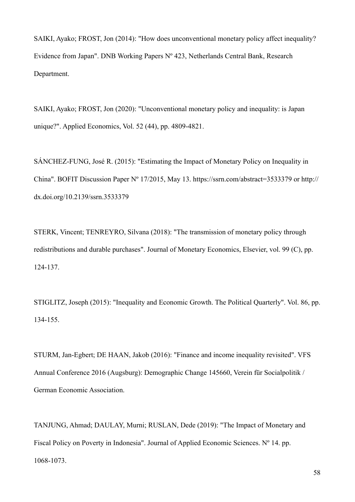SAIKI, Ayako; FROST, Jon (2014): "How does unconventional monetary policy affect inequality? Evidence from Japan". DNB Working Papers Nº 423, Netherlands Central Bank, Research Department.

SAIKI, Ayako; FROST, Jon (2020): "Unconventional monetary policy and inequality: is Japan unique?". Applied Economics, Vol. 52 (44), pp. 4809-4821.

SÁNCHEZ-FUNG, José R. (2015): "Estimating the Impact of Monetary Policy on Inequality in China". BOFIT Discussion Paper Nº 17/2015, May 13. https://ssrn.com/abstract=3533379 or http:// dx.doi.org/10.2139/ssrn.3533379

STERK, Vincent; TENREYRO, Silvana (2018): "The transmission of monetary policy through redistributions and durable purchases". Journal of Monetary Economics, Elsevier, vol. 99 (C), pp. 124-137.

STIGLITZ, Joseph (2015): "Inequality and Economic Growth. The Political Quarterly". Vol. 86, pp. 134-155.

STURM, Jan-Egbert; DE HAAN, Jakob (2016): "Finance and income inequality revisited". VFS Annual Conference 2016 (Augsburg): Demographic Change 145660, Verein für Socialpolitik / German Economic Association.

TANJUNG, Ahmad; DAULAY, Murni; RUSLAN, Dede (2019): "The Impact of Monetary and Fiscal Policy on Poverty in Indonesia". Journal of Applied Economic Sciences. Nº 14. pp. 1068-1073.